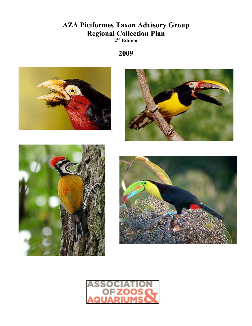#### **AZA Piciformes Taxon Advisory Group Regional Collection Plan 2nd Edition**

**2009**



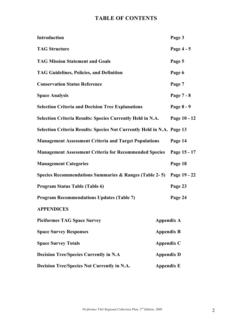#### **TABLE OF CONTENTS**

| Introduction                                                           |                   | Page 3       |
|------------------------------------------------------------------------|-------------------|--------------|
| <b>TAG Structure</b>                                                   |                   | Page 4 - 5   |
| <b>TAG Mission Statement and Goals</b>                                 |                   | Page 5       |
| <b>TAG Guidelines, Policies, and Definition</b>                        |                   | Page 6       |
| <b>Conservation Status Reference</b>                                   |                   | Page 7       |
| <b>Space Analysis</b>                                                  |                   | Page 7 - 8   |
| <b>Selection Criteria and Decision Tree Explanations</b>               |                   | Page 8 - 9   |
| <b>Selection Criteria Results: Species Currently Held in N.A.</b>      |                   | Page 10 - 12 |
| Selection Criteria Results: Species Not Currently Held in N.A. Page 13 |                   |              |
| <b>Management Assessment Criteria and Target Populations</b>           |                   | Page 14      |
| <b>Management Assessment Criteria for Recommended Species</b>          |                   | Page 15 - 17 |
| <b>Management Categories</b>                                           |                   | Page 18      |
| Species Recommendations Summaries & Ranges (Table 2-5) Page 19 - 22    |                   |              |
| Program Status Table (Table 6)                                         |                   | Page 23      |
| <b>Program Recommendations Updates (Table 7)</b>                       |                   | Page 24      |
| <b>APPENDICES</b>                                                      |                   |              |
| <b>Piciformes TAG Space Survey</b>                                     | <b>Appendix A</b> |              |
| <b>Space Survey Responses</b>                                          | <b>Appendix B</b> |              |
| <b>Space Survey Totals</b>                                             | Appendix C        |              |
| <b>Decision Tree/Species Currently in N.A</b>                          | <b>Appendix D</b> |              |
| Decision Tree/Species Not Currently in N.A.                            | <b>Appendix E</b> |              |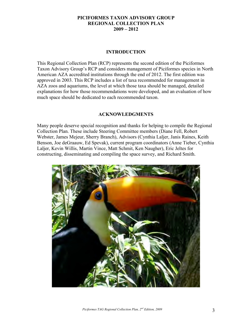#### **PICIFORMES TAXON ADVISORY GROUP REGIONAL COLLECTION PLAN 2009 – 2012**

#### **INTRODUCTION**

This Regional Collection Plan (RCP) represents the second edition of the Piciformes Taxon Advisory Group's RCP and considers management of Piciformes species in North American AZA accredited institutions through the end of 2012. The first edition was approved in 2003. This RCP includes a list of taxa recommended for management in AZA zoos and aquariums, the level at which those taxa should be managed, detailed explanations for how those recommendations were developed, and an evaluation of how much space should be dedicated to each recommended taxon.

#### **ACKNOWLEDGMENTS**

Many people deserve special recognition and thanks for helping to compile the Regional Collection Plan. These include Steering Committee members (Diane Fell, Robert Webster, James Mejeur, Sherry Branch), Advisors (Cynthia Laljer, Janis Raines, Keith Benson, Joe deGraauw, Ed Spevak), current program coordinators (Anne Tieber, Cynthia Laljer, Kevin Willis, Martin Vince, Matt Schmit, Ken Naugher), Eric Jeltes for constructing, disseminating and compiling the space survey, and Richard Smith.

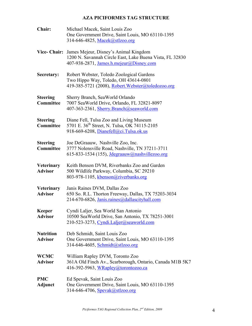#### **AZA PICIFORMES TAG STRUCTURE**

| Chair:                              | Michael Macek, Saint Louis Zoo<br>One Government Drive, Saint Louis, MO 63110-1395<br>314-646-4825, Macek@stlzoo.org                          |
|-------------------------------------|-----------------------------------------------------------------------------------------------------------------------------------------------|
| <b>Vice- Chair:</b>                 | James Mejeur, Disney's Animal Kingdom<br>1200 N. Savannah Circle East, Lake Buena Vista, FL 32830<br>407-938-2871, James.h.mejeur@Disney.com  |
| Secretary:                          | Robert Webster, Toledo Zoological Gardens<br>Two Hippo Way, Toledo, OH 43614-0801<br>419-385-5721 (2008), Robert. Webster@toledozoo.org       |
| <b>Steering</b><br>Committee        | Sherry Branch, SeaWorld Orlando<br>7007 SeaWorld Drive, Orlando, FL 32821-8097<br>407-363-2361, Sherry.Branch@seaworld.com                    |
| <b>Steering</b><br>Committee        | Diane Fell, Tulsa Zoo and Living Museum<br>5701 E. 36 <sup>th</sup> Street, N. Tulsa, OK 74115-2105<br>918-669-6208, Dianefell@ci.Tulsa.ok.us |
| <b>Steering</b><br>Committee        | Joe DeGraauw, Nashville Zoo, Inc.<br>3777 Nolensville Road, Nashville, TN 37211-3711<br>615-833-1534 (155), <i>Idegraauw@nashvillezoo.org</i> |
| <b>Veterinary</b><br><b>Advisor</b> | Keith Benson DVM, Riverbanks Zoo and Garden<br>500 Wildlife Parkway, Columbia, SC 29210<br>803-978-1105, kbenson@riverbanks.org               |
| <b>Veterinary</b><br><b>Advisor</b> | Janis Raines DVM, Dallas Zoo<br>650 So. R.L. Thorton Freeway, Dallas, TX 75203-3034<br>214-670-6826, Janis.raines@dallascityhall.com          |
| <b>Keeper</b><br><b>Advisor</b>     | Cyndi Laljer, Sea World San Antonio<br>10500 SeaWorld Drive, San Antonio, TX 78251-3001<br>210-523-3273, Cyndi.Laljer@seaworld.com            |
| <b>Nutrition</b><br>Advisor         | Deb Schmidt, Saint Louis Zoo<br>One Government Drive, Saint Louis, MO 63110-1395<br>314-646-4605, Schmidt@stlzoo.org                          |
| <b>WCMC</b><br><b>Advisor</b>       | William Rapley DVM, Toronto Zoo<br>361A Old Finch Av., Scarborough, Ontario, Canada M1B 5K7<br>416-392-5963, WRapley@torontozoo.ca            |
| <b>PMC</b><br>Adjunct               | Ed Spevak, Saint Louis Zoo<br>One Government Drive, Saint Louis, MO 63110-1395<br>314-646-4706, Spevak@stlzoo.org                             |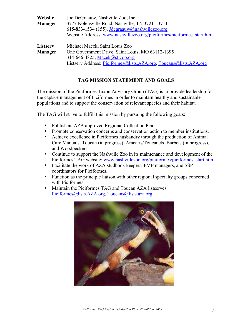| Website        | Joe DeGraauw, Nashville Zoo, Inc.                                     |
|----------------|-----------------------------------------------------------------------|
| <b>Manager</b> | 3777 Nolensville Road, Nashville, TN 37211-3711                       |
|                | 615-833-1534 (155), <i>Jdegraauw@nashvillezoo.org</i>                 |
|                | Website Address: www.nashvillezoo.org/piciformes/piciformes start.htm |
| Listserv       | Michael Macek, Saint Louis Zoo                                        |
| <b>Manager</b> | One Government Drive, Saint Louis, MO 63112-1395                      |
|                | 314-646-4825, Macek@stlzoo.org                                        |
|                | Listserv Address: Piciformes@lists.AZA.org, Toucans@lists.AZA.org     |

#### **TAG MISSION STATEMENT AND GOALS**

The mission of the Piciformes Taxon Advisory Group (TAG) is to provide leadership for the captive management of Piciformes in order to maintain healthy and sustainable populations and to support the conservation of relevant species and their habitat.

The TAG will strive to fulfill this mission by pursuing the following goals:

- Publish an AZA approved Regional Collection Plan.
- Promote conservation concerns and conservation action to member institutions.
- Achieve excellence in Piciformes husbandry through the production of Animal Care Manuals: Toucan (in progress), Aracaris/Toucanets, Barbets (in progress), and Woodpeckers.
- Continue to support the Nashville Zoo in its maintenance and development of the Piciformes TAG website: www.nashvillezoo.org/piciformes/piciformes\_start.htm
- Facilitate the work of AZA studbook keepers, PMP managers, and SSP coordinators for Piciformes.
- Function as the principle liaison with other regional specialty groups concerned with Piciformes.
- Maintain the Piciformes TAG and Toucan AZA listserves: Piciformes@lists.AZA.org, Toucans@lists.aza.org

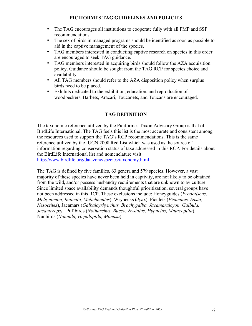#### **PICIFORMES TAG GUIDELINES AND POLICIES**

- The TAG encourages all institutions to cooperate fully with all PMP and SSP recommendations.
- The sex of birds in managed programs should be identified as soon as possible to aid in the captive management of the species.
- TAG members interested in conducting captive research on species in this order are encouraged to seek TAG guidance.
- TAG members interested in acquiring birds should follow the AZA acquisition policy. Guidance should be sought from the TAG RCP for species choice and availability.
- All TAG members should refer to the AZA disposition policy when surplus birds need to be placed.
- Exhibits dedicated to the exhibition, education, and reproduction of woodpeckers, Barbets, Aracari, Toucanets, and Toucans are encouraged.

#### **TAG DEFINITION**

The taxonomic reference utilized by the Piciformes Taxon Advisory Group is that of BirdLife International. The TAG feels this list is the most accurate and consistent among the resources used to support the TAG's RCP recommendations. This is the same reference utilized by the IUCN 2008 Red List which was used as the source of information regarding conservation status of taxa addressed in this RCP. For details about the BirdLife International list and nomenclature visit:

http://www.birdlife.org/datazone/species/taxonomy.html

The TAG is defined by five families, 63 genera and 579 species. However, a vast majority of these species have never been held in captivity, are not likely to be obtained from the wild, and/or possess husbandry requirements that are unknown to aviculture. Since limited space availability demands thoughtful prioritization, several groups have not been addressed in this RCP. These exclusions include: Honeyguides (*Prodotiscus, Melignomon, Indicato, Melichneutes*), Wrynecks (*Jynx*), Piculets (*Picumnus, Sasia, Nesoctites*), Jacamars (*Galbalcyrhynchus, Brachygalba, Jacamaralcyon, Galbula, Jacamerops),* Puffbirds (*Notharchus, Bucco, Nystalus, Hypnelus, Malacoptila*), Nunbirds (*Nonnula, Hepaloptila, Monasa*).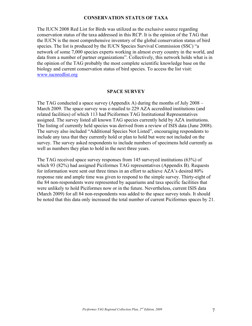#### **CONSERVATION STATUS OF TAXA**

The IUCN 2008 Red List for Birds was utilized as the exclusive source regarding conservation status of the taxa addressed in this RCP. It is the opinion of the TAG that the IUCN is the most comprehensive inventory of the global conservation status of bird species. The list is produced by the IUCN Species Survival Commission (SSC) "a network of some 7,000 species experts working in almost every country in the world, and data from a number of partner organizations". Collectively, this network holds what is in the opinion of the TAG probably the most complete scientific knowledge base on the biology and current conservation status of bird species. To access the list visit: www.iucnredlist.org

#### **SPACE SURVEY**

The TAG conducted a space survey (Appendix A) during the months of July 2008 – March 2009. The space survey was e-mailed to 229 AZA accredited institutions (and related facilities) of which 113 had Piciformes TAG Institutional Representatives assigned. The survey listed all known TAG species currently held by AZA institutions. The listing of currently held species was derived from a review of ISIS data (June 2008). The survey also included "Additional Species Not Listed", encouraging respondents to include any taxa that they currently hold or plan to hold but were not included on the survey. The survey asked respondents to include numbers of specimens held currently as well as numbers they plan to hold in the next three years.

The TAG received space survey responses from 145 surveyed institutions (63%) of which 93 (82%) had assigned Piciformes TAG representatives (Appendix B). Requests for information were sent out three times in an effort to achieve AZA's desired 80% response rate and ample time was given to respond to the simple survey. Thirty-eight of the 84 non-respondents were represented by aquariums and taxa specific facilities that were unlikely to hold Piciformes now or in the future. Nevertheless, current ISIS data (March 2009) for all 84 non-respondents was added to the space survey totals. It should be noted that this data only increased the total number of current Piciformes spaces by 21.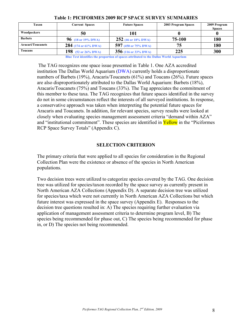| Taxon                    | <b>Current Spaces</b>                   | <b>Future Spaces</b>   | 2003 Program Spaces | 2009 Program<br><b>Spaces</b> |
|--------------------------|-----------------------------------------|------------------------|---------------------|-------------------------------|
| Woodpeckers              | 50                                      | l 01                   |                     |                               |
| <b>Barbets</b>           | 96 (18 or 19% DWA)                      | 252 (46 or 18% DWA)    | 75-100              | 180                           |
| <b>Aracari/Toucanets</b> | 284 (174 or 61% DWA)                    | 597 (450 or 75% DWA)   | 75                  | 180                           |
| Toucans                  | 198 $(52 \text{ or } 26\% \text{ DWA})$ | $356$ (116 or 33% DWA) | 225                 | 300                           |

#### **Table 1: PICIFORMES 2009 RCP SPACE SURVEY SUMMARIES**

**Blue Text identifies the proportion of spaces attributed to the Dallas World Aquarium**

The TAG recognizes one space issue presented in Table 1. One AZA accredited institution The Dallas World Aquarium (DWA) currently holds a disproportionate numbers of Barbets (19%), Aracaris/Toucanets (61%) and Toucans (26%). Future spaces are also disproportionately attributed to the Dallas World Aquarium: Barbets (18%), Aracaris/Toucanets (75%) and Toucans (33%). The Tag appreciates the commitment of this member to these taxa. The TAG recognizes that future spaces identified in the survey do not in some circumstances reflect the interests of all surveyed institutions. In response, a conservative approach was taken when interpreting the potential future spaces for Aracaris and Toucanets. In addition, for relevant species, survey results were looked at closely when evaluating species management assessment criteria "demand within AZA" and "institutional commitment". These species are identified in **Yellow** in the "Piciformes" RCP Space Survey Totals" (Appendix C).

#### **SELECTION CRITERION**

The primary criteria that were applied to all species for consideration in the Regional Collection Plan were the existence or absence of the species in North American populations.

Two decision trees were utilized to categorize species covered by the TAG. One decision tree was utilized for species/taxon recorded by the space survey as currently present in North American AZA Collections (Appendix D). A separate decision tree was utilized for species/taxa which were not currently in North American AZA Collections but which future interest was expressed in the space survey (Appendix E). Responses to the decision tree questions resulted in: A) The species requiring further evaluation via application of management assessment criteria to determine program level, B) The species being recommended for phase out, C) The species being recommended for phase in, or D) The species not being recommended.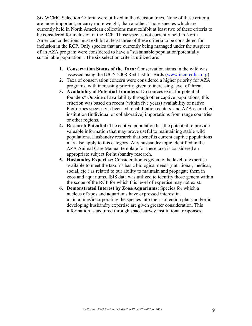Six WCMC Selection Criteria were utilized in the decision trees. None of these criteria are more important, or carry more weight, than another. Those species which are currently held in North American collections must exhibit at least two of these criteria to be considered for inclusion in the RCP. Those species not currently held in North American collections must exhibit at least three of these criteria to be considered for inclusion in the RCP. Only species that are currently being managed under the auspices of an AZA program were considered to have a "sustainable population/potentially sustainable population". The six selection criteria utilized are:

- **1. Conservation Status of the Taxa:** Conservation status in the wild was assessed using the IUCN 2008 Red List for Birds (www.iucnredlist.org)
- **2.** Taxa of conservation concern were considered a higher priority for AZA programs, with increasing priority given to increasing level of threat.
- **3. Availability of Potential Founders:** Do sources exist for potential founders? Outside of availability through other captive populations, this criterion was based on recent (within five years) availability of native Piciformes species via licensed rehabilitation centers, and AZA accredited institution (individual or collaborative) importations from range countries or other regions.
- **4. Research Potential:** The captive population has the potential to provide valuable information that may prove useful to maintaining stable wild populations. Husbandry research that benefits current captive populations may also apply to this category. Any husbandry topic identified in the AZA Animal Care Manual template for these taxa is considered an appropriate subject for husbandry research.
- **5. Husbandry Expertise:** Consideration is given to the level of expertise available to meet the taxon's basic biological needs (nutritional, medical, social, etc.) as related to our ability to maintain and propagate them in zoos and aquariums. ISIS data was utilized to identify those genera within the scope of the RCP for which this level of expertise may not exist.
- **6. Demonstrated Interest by Zoos/Aquariums:** Species for which a nucleus of zoos and aquariums have expressed interest in maintaining/incorporating the species into their collection plans and/or in developing husbandry expertise are given greater consideration. This information is acquired through space survey institutional responses.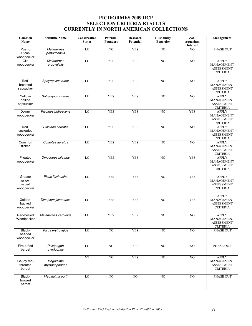#### **PICIFORMES 2009 RCP SELECTION CRITERIA RESULTS CURRENTLY IN NORTH AMERICAN COLLECTIONS**

| Common<br>Name                            | <b>Scientific Name</b>             | Conservation<br><b>Status</b> | <b>Potential</b><br><b>Founders</b> | Research<br>Potential | Husbandry<br><b>Expertise</b> | $Z_{00}$<br>Aquarium<br>Interest | Management                                                                |
|-------------------------------------------|------------------------------------|-------------------------------|-------------------------------------|-----------------------|-------------------------------|----------------------------------|---------------------------------------------------------------------------|
| Puerto<br>Rican<br>woodpecker             | <b>Melanerpes</b><br>portoricensis | LC                            | $\overline{NO}$                     | <b>YES</b>            | NO                            | $\overline{NO}$                  | <b>PHASE OUT</b>                                                          |
| Gila<br>woodpecker                        | Melanerpes<br>uropygialis          | LC                            | <b>YES</b>                          | <b>YES</b>            | NO                            | NO                               | <b>APPLY</b><br>MANAGEMENT<br><b>ASSESSMENT</b><br><b>CRITERIA</b>        |
| Red-<br>breasted<br>sapsucker             | Sphyrapicus ruber                  | LC                            | <b>YES</b>                          | <b>YES</b>            | $\overline{NO}$               | $\overline{NO}$                  | <b>APPLY</b><br><b>MANAGEMENT</b><br><b>ASSESSMENT</b><br><b>CRITERIA</b> |
| Yellow-<br>bellied<br>sapsucker           | Sphyrapicus varius                 | LC                            | <b>YES</b>                          | <b>YES</b>            | NO                            | $\overline{NO}$                  | <b>APPLY</b><br>MANAGEMENT<br><b>ASSESSMENT</b><br><b>CRITERIA</b>        |
| Downy<br>woodpecker                       | Picoides pubescens                 | LC                            | <b>YES</b>                          | <b>YES</b>            | NO                            | <b>YES</b>                       | <b>APPLY</b><br>MANAGEMENT<br><b>ASSESSMENT</b><br><b>CRITERIA</b>        |
| Red-<br>cockaded<br>woodpecker            | Picoides borealis                  | $_{\rm LC}$                   | <b>YES</b>                          | <b>YES</b>            | NO                            | NO                               | <b>APPLY</b><br>MANAGEMENT<br><b>ASSESSMENT</b><br><b>CRITERIA</b>        |
| Common<br>flicker                         | Colaptes auratus                   | LC                            | <b>YES</b>                          | <b>YES</b>            | NO                            | $\overline{NO}$                  | <b>APPLY</b><br>MANAGEMENT<br><b>ASSESSMENT</b><br><b>CRITERIA</b>        |
| Pileated<br>woodpecker                    | Dryocopus pileatus                 | LC                            | <b>YES</b>                          | <b>YES</b>            | N <sub>O</sub>                | <b>YES</b>                       | <b>APPLY</b><br>MANAGEMENT<br><b>ASSESSMENT</b><br><b>CRITERIA</b>        |
| Greater<br>yellow-<br>naped<br>woodpecker | Picus flavinucha                   | LC                            | <b>YES</b>                          | <b>YES</b>            | NO                            | <b>YES</b>                       | <b>APPLY</b><br>MANAGEMENT<br><b>ASSESSMENT</b><br><b>CRITERIA</b>        |
| Golden-<br>backed<br>woodpecker           | Dinopium javanense                 | LC                            | <b>YES</b>                          | <b>YES</b>            | N <sub>O</sub>                | <b>YES</b>                       | <b>APPLY</b><br>MANAGEMENT<br><b>ASSESSMENT</b><br><b>CRITERIA</b>        |
| Red-bellied<br>Woodpecker                 | Melanerpes carolinus               | LC                            | <b>YES</b>                          | <b>YES</b>            | NO                            | $\overline{NO}$                  | <b>APPLY</b><br>MANAGEMENT<br><b>ASSESSMENT</b><br><b>CRITERIA</b>        |
| Black-<br>headed<br>woodpecker            | Picus erytroygios                  | LC                            | $\rm NO$                            | <b>YES</b>            | $_{\rm NO}$                   | NO                               | PHASE OUT                                                                 |
| Fire-tufted<br>barbet                     | Psilopogon<br>pyrolophus           | LC                            | NO                                  | <b>YES</b>            | NO                            | $_{\rm NO}$                      | PHASE OUT                                                                 |
| Gaudy red-<br>throated<br>barbet          | Megalaima<br>mystacophanos         | NT                            | N <sub>O</sub>                      | <b>YES</b>            | NO                            | NO                               | <b>APPLY</b><br>MANAGEMENT<br>ASSESSMENT<br><b>CRITERIA</b>               |
| Black-<br>browed<br>barbet                | Megalaima oorti                    | LC                            | NO                                  | NO                    | NO                            | NO                               | PHASE OUT                                                                 |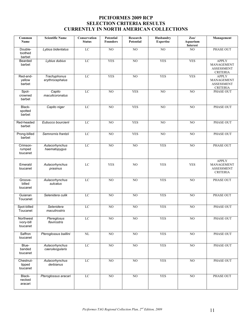#### **PICIFORMES 2009 RCP SELECTION CRITERIA RESULTS CURRENTLY IN NORTH AMERICAN COLLECTIONS**

| Common<br>Name                      | <b>Scientific Name</b>            | Conservation<br><b>Status</b> | <b>Potential</b><br><b>Founders</b> | Research<br><b>Potential</b> | Husbandry<br><b>Expertise</b> | $\mathbf{Zoo}/$<br><b>Aquarium</b><br>Interest | <b>Management</b>                                                  |
|-------------------------------------|-----------------------------------|-------------------------------|-------------------------------------|------------------------------|-------------------------------|------------------------------------------------|--------------------------------------------------------------------|
| Double-<br>toothed<br>barbet        | Lybius bidentatus                 | LC                            | $\overline{NO}$                     | N <sub>O</sub>               | N <sub>0</sub>                | NO.                                            | PHASE OUT                                                          |
| Bearded<br>barbet                   | Lybius dubius                     | LC                            | <b>YES</b>                          | $\overline{NO}$              | <b>YES</b>                    | <b>YES</b>                                     | <b>APPLY</b><br>MANAGEMENT<br><b>ASSESSMENT</b><br><b>CRITERIA</b> |
| Red-and-<br>yellow<br>barbet        | Trachyphonus<br>erythrocephalus   | LC                            | <b>YES</b>                          | $\overline{NO}$              | <b>YES</b>                    | <b>YES</b>                                     | <b>APPLY</b><br>MANAGEMENT<br><b>ASSESSMENT</b><br><b>CRITERIA</b> |
| Spot-<br>crowned<br>barbet          | Capito<br>maculicoronatus         | LC                            | $\overline{NO}$                     | <b>YES</b>                   | N <sub>0</sub>                | $\overline{NO}$                                | <b>PHASE OUT</b>                                                   |
| Black-<br>spotted<br>barbet         | Capito niger                      | $_{\rm LC}$                   | NO                                  | <b>YES</b>                   | NO                            | NO                                             | <b>PHASE OUT</b>                                                   |
| Red-headed<br>barbet                | Eubucco bourcierii                | LC                            | NO                                  | <b>YES</b>                   | NO                            | $\overline{NO}$                                | <b>PHASE OUT</b>                                                   |
| Prong-billed<br>barbet              | Semnornis frantzii                | LC                            | N <sub>O</sub>                      | <b>YES</b>                   | NO                            | N <sub>O</sub>                                 | PHASE OUT                                                          |
| Crimson-<br>rumped<br>toucanet      | Aulacorhynchus<br>haematopygus    | LC                            | N <sub>O</sub>                      | $_{\rm NO}$                  | <b>YES</b>                    | NO                                             | PHASE OUT                                                          |
| Emerald<br>toucanet                 | Aulacorhynchus<br>prasinus        | LC                            | <b>YES</b>                          | NO                           | <b>YES</b>                    | <b>YES</b>                                     | <b>APPLY</b><br>MANAGEMENT<br><b>ASSESSMENT</b><br><b>CRITERIA</b> |
| Groove-<br>billed<br>toucanet       | Aulacorhynchus<br>sulcatus        | LC                            | $\overline{NO}$                     | $\overline{NO}$              | <b>YES</b>                    | $\overline{NO}$                                | PHASE OUT                                                          |
| Guianan<br>Toucanet                 | Selenidera culik                  | LC                            | $\overline{NO}$                     | $\overline{NO}$              | <b>YES</b>                    | $\overline{NO}$                                | PHASE OUT                                                          |
| Spot-billed<br>Toucanet             | Selenidera<br>maculirostris       | LC                            | $\overline{NO}$                     | N <sub>O</sub>               | <b>YES</b>                    | N <sub>0</sub>                                 | <b>PHASE OUT</b>                                                   |
| Northwest<br>ivory-bill<br>toucanet | Ptereglosus<br>flavirostris       | LC                            | $_{\rm NO}$                         | $_{\rm NO}$                  | <b>YES</b>                    | N <sub>0</sub>                                 | <b>PHASE OUT</b>                                                   |
| Saffron<br>toucanet                 | Pteroglossus baillini             | $\rm NL$                      | N <sub>O</sub>                      | N <sub>O</sub>               | <b>YES</b>                    | N <sub>0</sub>                                 | PHASE OUT                                                          |
| Blue-<br>banded<br>toucanet         | Aulacorhynchus<br>caeruleogularis | LC                            | $\rm NO$                            | $\rm NO$                     | <b>YES</b>                    | N <sub>O</sub>                                 | PHASE OUT                                                          |
| Chestnut-<br>tipped<br>toucanet     | Aulacorhynchus<br>derbianus       | LC                            | $\rm NO$                            | $\rm NO$                     | <b>YES</b>                    | NO                                             | PHASE OUT                                                          |
| Black-<br>necked<br>aracari         | Pteroglossus aracari              | LC                            | NO                                  | $\rm NO$                     | <b>YES</b>                    | N <sub>O</sub>                                 | PHASE OUT                                                          |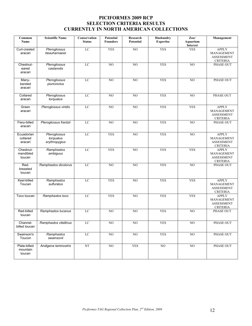#### **PICIFORMES 2009 RCP SELECTION CRITERIA RESULTS CURRENTLY IN NORTH AMERICAN COLLECTIONS**

| Common<br>Name                     | <b>Scientific Name</b>                     | Conservation<br><b>Status</b> | <b>Potential</b><br><b>Founders</b> | Research<br>Potential | Husbandry<br><b>Expertise</b> | Zoo/<br>Aquarium<br>Interest | <b>Management</b>                                                  |
|------------------------------------|--------------------------------------------|-------------------------------|-------------------------------------|-----------------------|-------------------------------|------------------------------|--------------------------------------------------------------------|
| Curl-crested<br>aracari            | Pteroglossus<br>beauharnaesii              | LC                            | <b>YES</b>                          | $\overline{NO}$       | <b>YES</b>                    | <b>YES</b>                   | <b>APPLY</b><br>MANAGEMENT<br>ASSESSMENT<br><b>CRITERIA</b>        |
| Chestnut-<br>eared<br>aracari      | Pteroglossus<br>castanotis                 | LC                            | $\overline{NO}$                     | NO                    | <b>YES</b>                    | $\overline{NO}$              | PHASE OUT                                                          |
| Many-<br>banded<br>aracari         | Pteroglossus<br>pluricinctus               | LC                            | $\overline{NO}$                     | NO                    | <b>YES</b>                    | $\overline{NO}$              | <b>PHASE OUT</b>                                                   |
| Collared<br>aracari                | Pteroglossus<br>torquatus                  | LC                            | NO                                  | NO                    | <b>YES</b>                    | NO                           | PHASE OUT                                                          |
| Green<br>aracari                   | Pteroglossus viridis                       | LC                            | $\overline{NO}$                     | $\overline{NO}$       | <b>YES</b>                    | <b>YES</b>                   | <b>APPLY</b><br>MANAGEMENT<br><b>ASSESSMENT</b><br><b>CRITERIA</b> |
| Fiery-billed<br>aracari            | Pteroglossus frantzii                      | LC                            | $\overline{NO}$                     | $\overline{NO}$       | <b>YES</b>                    | $\overline{NO}$              | <b>PHASE OUT</b>                                                   |
| Ecuadorian<br>collared<br>aracari  | Pteroglossus<br>torquatus<br>erythropygius | LC                            | <b>YES</b>                          | NO                    | <b>YES</b>                    | $_{\rm NO}$                  | <b>APPLY</b><br>MANAGEMENT<br><b>ASSESSMENT</b><br><b>CRITERIA</b> |
| Chestnut-<br>mandibled<br>toucan   | Ramphastos<br>ambiguus                     | LC                            | <b>YES</b>                          | NO                    | <b>YES</b>                    | <b>YES</b>                   | <b>APPLY</b><br>MANAGEMENT<br>ASSESSMENT<br><b>CRITERIA</b>        |
| Red-<br>breasted<br>toucan         | Ramphastos dicolorus                       | LC                            | NO                                  | NO                    | <b>YES</b>                    | NO                           | PHASE OUT                                                          |
| Keel-billed<br>Toucan              | Ramphastos<br>sulfuratus                   | LC                            | <b>YES</b>                          | $\overline{NO}$       | <b>YES</b>                    | <b>YES</b>                   | <b>APPLY</b><br>MANAGEMENT<br><b>ASSESSMENT</b><br><b>CRITERIA</b> |
| Toco toucan                        | Ramphastos toco                            | LC                            | <b>YES</b>                          | NO                    | <b>YES</b>                    | <b>YES</b>                   | <b>APPLY</b><br>MANAGEMENT<br><b>ASSESSMENT</b><br><b>CRITERIA</b> |
| Red-billed<br>toucan               | Ramphastos tucanus                         | $_{\rm LC}$                   | N <sub>O</sub>                      | N <sub>O</sub>        | <b>YES</b>                    | NO                           | <b>PHASE OUT</b>                                                   |
| Channel-<br>billed toucan          | Ramphastos vitellinus                      | LC                            | N <sub>O</sub>                      | NO                    | <b>YES</b>                    | NO                           | PHASE OUT                                                          |
| Swainson's<br>Toucon               | Ramphastos<br>swainsonii                   | LC                            | NO                                  | $\rm NO$              | <b>YES</b>                    | NO                           | PHASE OUT                                                          |
| Plate-billed<br>mountain<br>toucan | Andigena laminostris                       | NT                            | $_{\rm NO}$                         | <b>YES</b>            | NO                            | NO                           | PHASE OUT                                                          |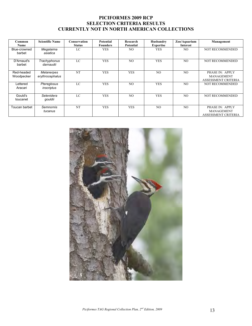#### **PICIFORMES 2009 RCP SELECTION CRITERIA RESULTS CURRENTLY NOT IN NORTH AMERICAN COLLECTIONS**

| Common<br><b>Name</b>    | <b>Scientific Name</b>        | Conservation<br><b>Status</b> | Potential<br><b>Founders</b> | Research<br>Potential | Husbandry<br><b>Expertise</b> | Zoo/Aquarium<br>Interest | Management                                                         |
|--------------------------|-------------------------------|-------------------------------|------------------------------|-----------------------|-------------------------------|--------------------------|--------------------------------------------------------------------|
| Blue-crowned<br>barbet   | Megalaima<br>asiatica         | LC                            | <b>YES</b>                   | NO.                   | <b>YES</b>                    | NO.                      | <b>NOT RECOMMENDED</b>                                             |
| D'Arnaud's<br>barbet     | Trachyphonus<br>darnaudii     | LC                            | <b>YES</b>                   | N <sub>O</sub>        | <b>YES</b>                    | N <sub>O</sub>           | <b>NOT RECOMMENDED</b>                                             |
| Red-headed<br>Woodpecker | Melanerpes<br>erythrocephalus | <b>NT</b>                     | <b>YES</b>                   | <b>YES</b>            | NO.                           | N <sub>O</sub>           | PHASE IN: APPLY<br><b>MANAGEMENT</b><br><b>ASSESSMENT CRITERIA</b> |
| Lettered<br>Aracari      | Ptereglosus<br>inscriptus     | LC                            | <b>YES</b>                   | N <sub>O</sub>        | <b>YES</b>                    | N <sub>O</sub>           | <b>NOT RECOMMENDED</b>                                             |
| Gould's<br>toucanet      | Selenidera<br>gouldii         | LC                            | <b>YES</b>                   | N <sub>O</sub>        | <b>YES</b>                    | N <sub>O</sub>           | <b>NOT RECOMMENDED</b>                                             |
| Toucan barbet            | Semnornis<br>tucanus          | NT                            | <b>YES</b>                   | <b>YES</b>            | NO.                           | N <sub>O</sub>           | PHASE IN: APPLY<br><b>MANAGEMENT</b><br><b>ASSESSMENT CRITERIA</b> |

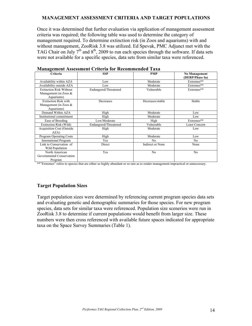#### **MANAGEMENT ASSESSMENT CRITERIA AND TARGET POPULATIONS**

Once it was determined that further evaluation via application of management assessment criteria was required; the following table was used to determine the category of management required. To determine extinction risk (in Zoos and aquariums) with and without management, ZooRisk 3.8 was utilized. Ed Spevak, PMC Adjunct met with the TAG Chair on July  $7<sup>th</sup>$  and  $8<sup>th</sup>$ , 2009 to run each species through the software. If data sets were not available for a specific species, data sets from similar taxa were referenced.

| Criteria                          | <b>SSP</b>            | <b>PMP</b>       | <b>No Management</b><br>(DERP/Phase In) |
|-----------------------------------|-----------------------|------------------|-----------------------------------------|
| Availability within AZA           | Low                   | Moderate         | Extremes**                              |
| Availability outside AZA          | Low                   | Moderate         | Extremes**                              |
| <b>Extinction Risk Without</b>    | Endangered/Threatened | Vulnerable       | Extremes**                              |
| Management (in Zoos $&$           |                       |                  |                                         |
| Aquariums)                        |                       |                  |                                         |
| <b>Extinction Risk with</b>       | Decreases             | Decreases/stable | Stable                                  |
| Management (in Zoos $&$           |                       |                  |                                         |
| Aquariums)                        |                       |                  |                                         |
| Demand Within AZA                 | High                  | Moderate         | Low                                     |
| Institutional commitment          | High                  | Moderate         | Low                                     |
| Ease of Breeding                  | Low/Moderate          | High             | Extremes**                              |
| Extinction Risk (Wild)            | Endangered/Threatened | Vulnerable       | <b>Least Concern</b>                    |
| <b>Acquisition Cost (Outside)</b> | High                  | Moderate         | Low                                     |
| AZA)                              |                       |                  |                                         |
| <b>Program Operating Costs</b>    | High                  | Moderate         | Low                                     |
| <b>International Program</b>      | Yes                   | N <sub>0</sub>   | N <sub>0</sub>                          |
| Link to Conservation of           | Direct                | Indirect or None | None                                    |
| Wild Population                   |                       |                  |                                         |
| North American                    | Yes                   | N <sub>0</sub>   | No                                      |
| Governmental Conservation         |                       |                  |                                         |
| Program                           |                       |                  |                                         |

#### **Management Assessment Criteria for Recommended Taxa**

\*\*"Extremes" refers to species that are either so highly abundant or so rare as to render management impractical or unnecessary.

#### **Target Population Sizes**

Target population sizes were determined by referencing current program species data sets and evaluating genetic and demographic summaries for those species. For new program species, data sets for similar taxa were referenced. Population size scenerios were run in ZooRisk 3.8 to determine if current populations would benefit from larger size. These numbers were then cross referenced with available future spaces indicated for appropriate taxa on the Space Survey Summaries (Table 1).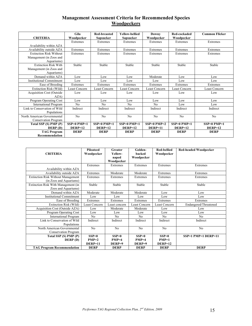#### **Management Assessment Criteria for Recommended Species Woodpeckers**

|                                   | Gila           | <b>Red-breasted</b> | <b>Yellow-bellied</b> | Downy                | Red-cockaded   | <b>Common Flicker</b> |
|-----------------------------------|----------------|---------------------|-----------------------|----------------------|----------------|-----------------------|
| <b>CRITERIA</b>                   | Woodpecker     | Sapsucker           | Sapsucker             | Woodpecker           | Woodpecker     |                       |
|                                   | Extremes       | Extremes            | Extremes              | Extremes             | Extremes       | Extremes              |
| Availability within AZA           |                |                     |                       |                      |                |                       |
| Availability outside AZA          | Extremes       | Extremes            | Extremes              | Extremes             | Extremes       | Extremes              |
| <b>Extinction Risk Without</b>    | Extremes       | Extremes            | Extremes              | Extremes             | Extremes       | Extremes              |
| Management (in Zoos and           |                |                     |                       |                      |                |                       |
| Aquariums)                        |                |                     |                       |                      |                |                       |
| <b>Extinction Risk With</b>       | Stable         | Stable              | Stable                | Stable               | Stable         | Stable                |
| Management (in Zoos and           |                |                     |                       |                      |                |                       |
| Aquariums)                        |                |                     |                       |                      |                |                       |
| Demand within AZA                 | Low            | Low                 | Low                   | Moderate             | Low            | Low                   |
| <b>Institutional Commitment</b>   | Low            | Low                 | Low                   | Low                  | Low            | Low                   |
| Ease of Breeding                  | Extremes       | Extremes            | Extremes              | Extremes             | Extremes       | Extremes              |
| Extinction Risk (Wild)            | Least Concern  | Least Concern       | <b>Least Concern</b>  | <b>Least Concern</b> | Least Concern  | <b>Least Concern</b>  |
| <b>Acquisition Cost (Outside)</b> | Low            | Low                 | Low                   | Low                  | Low            | Low                   |
| AZA)                              |                |                     |                       |                      |                |                       |
| Program Operating Cost            | Low            | Low                 | Low                   | Low                  | Low            | Low                   |
| <b>International Program</b>      | N <sub>0</sub> | N <sub>0</sub>      | N <sub>0</sub>        | N <sub>0</sub>       | Low            | Low                   |
| Link to Conservation of Wild      | Indirect       | Indirect            | Indirect              | Indirect             | Indirect       | Indirect              |
| Populations                       |                |                     |                       |                      |                |                       |
| North American Governmental       | No             | N <sub>o</sub>      | N <sub>0</sub>        | No                   | N <sub>0</sub> | N <sub>o</sub>        |
| Conservation Program              |                |                     |                       |                      |                |                       |
| Total SSP (S) PMP (P)             | $SSP=0$ PMP=1  | $SSP=0$ PMP=1       | $SSP=0$ PMP=1         | $SSP=0$ PMP=2        | $SSP=0$ PMP=1  | $SSP=0$ PMP=1         |
| DERP(D)                           | $DERP=12$      | $DERP=12$           | $DERP=12$             | $DERP=11$            | $DERP=12$      | $DERP=12$             |
| <b>TAG Program</b>                | <b>DERP</b>    | <b>DERP</b>         | <b>DERP</b>           | <b>DERP</b>          | <b>DERP</b>    | <b>DERP</b>           |
| <b>Recommendation</b>             |                |                     |                       |                      |                |                       |

|                                           | <b>Pileateed</b> | Greater        | Golden-              | <b>Red-bellied</b> | <b>Red-headed Woodpecker</b> |
|-------------------------------------------|------------------|----------------|----------------------|--------------------|------------------------------|
| <b>CRITERIA</b>                           | Woodpecker       | Yellow-        | <b>backed</b>        | Woodpecker         |                              |
|                                           |                  | naped          | Woodpecker           |                    |                              |
|                                           |                  | Woodpecker     |                      |                    |                              |
|                                           | Extremes         | Extremes       | Extremes             | Extremes           | Extremes                     |
| Availability within AZA                   |                  |                |                      |                    |                              |
| Availability outside AZA                  | Extremes         | Moderate       | Moderate             | Extremes           | Extremes                     |
| <b>Extinction Risk Without Management</b> | Extremes         | Extremes       | Extremes             | Extremes           | Extremes                     |
| (in Zoos and Aquariums)                   |                  |                |                      |                    |                              |
| Extinction Risk With Management (in       | Stable           | Stable         | Stable               | Stable             | Stable                       |
| Zoos and Aquariums)                       |                  |                |                      |                    |                              |
| Demand within AZA                         | Moderate         | Moderate       | Moderate             | Low                | Low                          |
| Institutional Commitment                  | Low              | Low            | Low                  | Low                | Low                          |
| Ease of Breeding                          | Extremes         | Extremes       | Extremes             | Extremes           | Extremes                     |
| Extinction Risk (Wild)                    | Least Concern    | Least concern  | <b>Least Concern</b> | Least Concern      | Endangered/Threatened        |
| Acquisition Cost (Outside AZA)            | Low              | Moderate       | Moderate             | Low                | Low                          |
| Program Operating Cost                    | Low              | Low            | Low                  | Low                | Low                          |
| <b>International Program</b>              | N <sub>0</sub>   | No             | N <sub>0</sub>       | N <sub>0</sub>     | N <sub>0</sub>               |
| Link to Conservation of Wild              | Indirect         | Indirect       | Indirect             | Indirect           | Indirect                     |
| Populations                               |                  |                |                      |                    |                              |
| North American Governmental               | N <sub>o</sub>   | N <sub>0</sub> | N <sub>0</sub>       | N <sub>o</sub>     | No                           |
| Conservation Program                      |                  |                |                      |                    |                              |
| Total SSP (S) PMP (P)                     | $SSP=0$          | $SSP=0$        | $SSP=0$              | $SSP=0$            | $SSP=1$ PMP=1 DERP=11        |
| <b>DERP</b> (D)                           | $PMP=2$          | $PMP=4$        | $PMP=4$              | $PMP=1$            |                              |
|                                           | DERP=11          | DERP=9         | DERP=9               | $DERP=12$          |                              |
| <b>TAG Program Recommendation</b>         | <b>DERP</b>      | <b>DERP</b>    | <b>DERP</b>          | <b>DERP</b>        | <b>DERP</b>                  |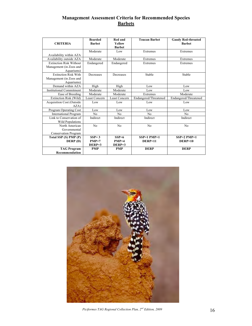#### **Management Assessment Criteria for Recommended Species Barbets**

| <b>CRITERIA</b>                  | <b>Bearded</b><br><b>Barbet</b> | <b>Red and</b><br>Yellow<br><b>Barbet</b> | <b>Toucan Barbet</b>  | <b>Gaudy Red-throated</b><br><b>Barbet</b> |
|----------------------------------|---------------------------------|-------------------------------------------|-----------------------|--------------------------------------------|
|                                  | Moderate                        | Low                                       | Extremes              | Extremes                                   |
| Availability within AZA          |                                 |                                           |                       |                                            |
| Availability outside AZA         | Moderate                        | Moderate                                  | Extremes              | Extremes                                   |
| <b>Extinction Risk Without</b>   | Endangered                      | Endangered                                | Extremes              | Extremes                                   |
| Management (in Zoos and          |                                 |                                           |                       |                                            |
| Aquariums)                       |                                 |                                           |                       |                                            |
| <b>Extinction Risk With</b>      | Decreases                       | Decreases                                 | Stable                | Stable                                     |
| Management (in Zoos and          |                                 |                                           |                       |                                            |
| Aquariums)                       |                                 |                                           |                       |                                            |
| Demand within AZA                | High                            | High                                      | Low                   | Low                                        |
| <b>Institutional Commitment</b>  | Moderate                        | Moderate                                  | Low                   | Low                                        |
| Ease of Breeding                 | Moderate                        | Moderate                                  | Extremes              | Moderate                                   |
| Extinction Risk (Wild)           | Least Concern                   | Least Concern                             | Endangered/Threatened | Endangered/Threatened                      |
| <b>Acquisition Cost (Outside</b> | Low                             | Low                                       | Low                   | Low                                        |
| AZA)                             |                                 |                                           |                       |                                            |
| Program Operating Cost           | Low                             | Low                                       | Low                   | Low                                        |
| <b>International Program</b>     | No                              | No                                        | No                    | No                                         |
| Link to Conservation of          | Indirect                        | Indirect                                  | Indirect              | Indirect                                   |
| Wild Populations                 |                                 |                                           |                       |                                            |
| North American                   | N <sub>0</sub>                  | No                                        | N <sub>o</sub>        | N <sub>0</sub>                             |
| Governmental                     |                                 |                                           |                       |                                            |
| <b>Conservation Program</b>      |                                 |                                           |                       |                                            |
| Total SSP (S) PMP (P)            | $SSP = 3$                       | $SSP=6$                                   | $SSP=1$ PMP=1         | $SSP=2$ PMP=1                              |
| DERP(D)                          | $PMP=7$                         | $PMP=4$                                   | $DERP=11$             | $DERP=10$                                  |
|                                  | $DERP=3$                        | $DERP=3$                                  |                       |                                            |
| <b>TAG Program</b>               | <b>PMP</b>                      | <b>PMP</b>                                | <b>DERP</b>           | <b>DERP</b>                                |
| <b>Recommendation</b>            |                                 |                                           |                       |                                            |



*Piciformes TAG Regional Collection Plan,*  $2^{nd}$  *Edition, 2009* 16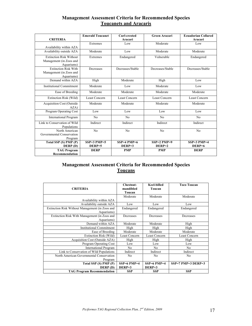#### **Management Assessment Criteria for Recommended Species Toucanets and Aracaris**

| <b>CRITERIA</b>                 | <b>Emerald Toucanet</b> | <b>Curl-crested</b><br>Aracari | <b>Green Aracari</b> | <b>Ecuadorian Collared</b><br>Aracari |
|---------------------------------|-------------------------|--------------------------------|----------------------|---------------------------------------|
|                                 |                         |                                |                      |                                       |
|                                 | Extremes                | Low                            | Moderate             | Low                                   |
| Availability within AZA         |                         |                                |                      |                                       |
| Availability outside AZA        | Moderate                | Low                            | Moderate             | Moderate                              |
| <b>Extinction Risk Without</b>  | Extremes                | Endangered                     | Vulnerable           | Endangered                            |
| Management (in Zoos and         |                         |                                |                      |                                       |
| Aquariums)                      |                         |                                |                      |                                       |
| <b>Extinction Risk With</b>     | Decreases               | Decreases/Stable               | Decreases/Stable     | Decreases/Stable                      |
| Management (in Zoos and         |                         |                                |                      |                                       |
| Aquariums)                      |                         |                                |                      |                                       |
| Demand within AZA               |                         | Moderate                       |                      |                                       |
|                                 | High                    |                                | High                 | Low                                   |
| <b>Institutional Commitment</b> | Moderate                | Low                            | Moderate             | Low                                   |
| Ease of Breeding                | Moderate                | Moderate                       | Moderate             | Moderate                              |
| Extinction Risk (Wild)          | <b>Least Concern</b>    | <b>Least Concern</b>           | Least Concern        | Least Concern                         |
| Acquisition Cost (Outside       | Moderate                | Moderate                       | Moderate             | Moderate                              |
| AZA)                            |                         |                                |                      |                                       |
| Program Operating Cost          | Low                     | Low                            | Low                  | Low                                   |
| <b>International Program</b>    | N <sub>0</sub>          | N <sub>0</sub>                 | N <sub>0</sub>       | N <sub>0</sub>                        |
| Link to Conservation of Wild    | Indirect                | Indirect                       | Indirect             | Indirect                              |
| Populations                     |                         |                                |                      |                                       |
| North American                  | No                      | N <sub>0</sub>                 | N <sub>0</sub>       | N <sub>0</sub>                        |
| Governmental Conservation       |                         |                                |                      |                                       |
| Program                         |                         |                                |                      |                                       |
| Total SSP (S) PMP (P)           | $SSP=3$ PMP=5           | $SSP=4$ PMP=6                  | $SSP=2$ PMP=9        | $SSP=3$ PMP=4                         |
| DERP(D)                         | DERP=5                  | $DERP=3$                       | $DERP=2$             | DERP=6                                |
| <b>TAG Program</b>              | <b>DERP</b>             | <b>PMP</b>                     | <b>PMP</b>           | <b>DERP</b>                           |
| Recommendation                  |                         |                                |                      |                                       |

#### **Management Assessment Criteria for Recommended Species Toucans**

| <b>CRITERIA</b>                                 | Chestnut-<br>mandibled<br>Toucan | <b>Keel-billed</b><br>Toucan | <b>Toco Toucan</b>   |
|-------------------------------------------------|----------------------------------|------------------------------|----------------------|
|                                                 | Moderate                         | Moderate                     | Moderate             |
| Availability within AZA                         |                                  |                              |                      |
| Availability outside AZA                        | Low                              | Low                          | Low                  |
| Extinction Risk Without Management (in Zoos and | Endangered                       | Endangered                   | Endangered           |
| Aquariums)                                      |                                  |                              |                      |
| Extinction Risk With Management (in Zoos and    | Decreases                        | Decreases                    | Decreases            |
| Aquariums)                                      |                                  |                              |                      |
| Demand within AZA                               | Moderate                         | Moderate                     | High                 |
| <b>Institutional Commitment</b>                 | High                             | High                         | High                 |
| Ease of Breeding                                | Moderate                         | Moderate                     | Moderate             |
| Extinction Risk (Wild)                          | Least Concern                    | Least Concern                | Least Concern        |
| Acquisition Cost (Outside AZA)                  | High                             | High                         | High                 |
| Program Operating Cost                          | Low                              | Low                          | Low                  |
| <b>International Program</b>                    | N <sub>0</sub>                   | N <sub>0</sub>               | N <sub>0</sub>       |
| Link to Conservation of Wild Populations        | Indirect                         | Indirect                     | Indirect             |
| North American Governmental Conservation        | N <sub>0</sub>                   | No                           | N <sub>0</sub>       |
| Program                                         |                                  |                              |                      |
| Total SSP (S) PMP (P)                           | $SSP=6$ PMP=4                    | $SSP=6$ PMP=4                | $SSP=7$ PMP=3 DERP=3 |
| DERP(D)                                         | DERP=3                           | $DERP=3$                     |                      |
| <b>TAG Program Recommendation</b>               | <b>SSP</b>                       | <b>SSP</b>                   | <b>SSP</b>           |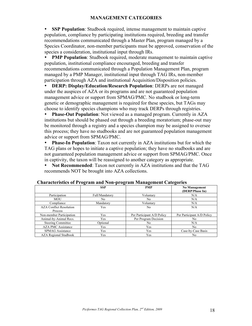#### **MANAGEMENT CATEGORIES**

• **SSP Population**: Studbook required, intense management to maintain captive population, compliance by participating institutions required, breeding and transfer recommendations communicated through a Master Plan, program managed by a Species Coordinator, non-member participants must be approved, conservation of the species a consideration, institutional input through IRs.

• **PMP Population**: Studbook required, moderate management to maintain captive population, institutional compliance encouraged, breeding and transfer recommendations communicated through a Population Management Plan, program managed by a PMP Manager, institutional input through TAG IRs, non-member participation through AZA and institutional Acquisition/Disposition policies.

• **DERP: Display/Education/Research Population**: DERPs are not managed under the auspices of AZA or its programs and are not guaranteed population management advice or support from SPMAG/PMC. No studbook or long-term genetic or demographic management is required for these species, but TAGs may choose to identify species champions who may track DERPs through registries.

• **Phase-Out Population**: Not viewed as a managed program. Currently in AZA institutions but should be phased out through a breeding moratorium; phase-out may be monitored through a registry and a species champion may be assigned to oversee this process; they have no studbooks and are not guaranteed population management advice or support from SPMAG/PMC.

**Phase-In Population**: Taxon not currently in AZA institutions but for which the TAG plans or hopes to initiate a captive population; they have no studbooks and are not guaranteed population management advice or support from SPMAG/PMC. Once in captivity, the taxon will be reassigned to another category as appropriate.

• **Not Recommended**: Taxon not currently in AZA institutions and that the TAG recommends NOT be brought into AZA collections.

|                                | o<br>$\overline{\phantom{a}}$ | $\sim$                     | o                                       |
|--------------------------------|-------------------------------|----------------------------|-----------------------------------------|
|                                | <b>SSP</b>                    | <b>PMP</b>                 | <b>No Management</b><br>(DERP/Phase In) |
| Participation                  | Full/Mandatory                | Voluntary                  | N/A                                     |
| MOU                            | No.                           | N <sub>0</sub>             | N/A                                     |
| Compliance                     | Mandatory                     | Voluntary                  | N/A                                     |
| <b>AZA Conflict Resolution</b> | <b>Yes</b>                    | N <sub>0</sub>             | N/A                                     |
| Process                        |                               |                            |                                         |
| Non-member Participation       | Yes                           | Per Participant A/D Policy | Per Participant A/D Policy              |
| Animal-by-Animal Recs.         | Yes                           | Per Program Decision       | No                                      |
| <b>Steering Committee</b>      | Optional                      | N <sub>0</sub>             | N/A                                     |
| <b>AZA PMC Assistance</b>      | Yes                           | Yes                        | No                                      |
| <b>SPMAG</b> Assistance        | Yes                           | Yes                        | Case-by-Case Basis                      |
| <b>AZA Regional Studbook</b>   | Yes                           | Yes                        | No.                                     |

#### **Characteristics of Program and Non-program Management Categories**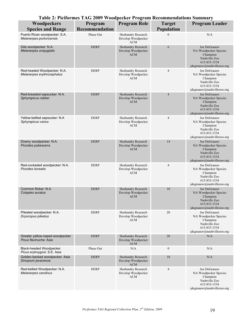| Table 2: Piciformes TAG 2009 Woodpecker Program Recommendations Summary |                |                                                        |                  |                                                                                                                  |  |  |  |
|-------------------------------------------------------------------------|----------------|--------------------------------------------------------|------------------|------------------------------------------------------------------------------------------------------------------|--|--|--|
| Woodpeckers                                                             | Program        | <b>Program Role</b>                                    | <b>Target</b>    | <b>Program Leader</b>                                                                                            |  |  |  |
| <b>Species and Range</b>                                                | Recommendation |                                                        | Population       |                                                                                                                  |  |  |  |
| Puerto Rican woodpecker: S.A.<br>Melanerpes portoricensis               | Phase Out      | Husbandry Research<br>Develop Woodpecker<br><b>ACM</b> | $\boldsymbol{0}$ | N/A                                                                                                              |  |  |  |
| Gila woodpecker: N.A.<br>Melanerpes uropygialis                         | <b>DERP</b>    | Husbandry Research<br>Develop Woodpecker<br><b>ACM</b> | 6                | Joe DeGraauw<br>NA Woodpecker Species<br>Champion<br>Nashville Zoo<br>615-833-1534<br>jdegraauw@nashvillezoo.org |  |  |  |
| Red-headed Woodpecker: N.A.<br>Melanerpes erythrocephalus               | <b>DERP</b>    | Husbandry Research<br>Develop Woodpecker<br><b>ACM</b> | 4                | Joe DeGraauw<br>NA Woodpecker Species<br>Champion<br>Nashville Zoo<br>615-833-1534<br>jdegraauw@nashvillezoo.org |  |  |  |
| Red-breasted sapsucker: N.A.<br>Sphyrapicus rubber                      | <b>DERP</b>    | Husbandry Research<br>Develop Woodpecker<br><b>ACM</b> | $\overline{4}$   | Joe DeGraauw<br>NA Woodpecker Species<br>Champion<br>Nashville Zoo<br>615-833-1534<br>jdegraauw@nashvillezoo.org |  |  |  |
| Yellow-bellied sapsucker: N.A<br>Sphyrapicus varius                     | <b>DERP</b>    | Husbandry Research<br>Develop Woodpecker<br><b>ACM</b> | 4                | Joe DeGraauw<br>NA Woodpecker Species<br>Champion<br>Nashville Zoo<br>615-833-1534<br>jdegraauw@nashvillezoo.org |  |  |  |
| Downy woodpecker: N.A.<br>Picoides pubescens                            | <b>DERP</b>    | Husbandry Research<br>Develop Woodpecker<br><b>ACM</b> | 14               | Joe DeGraauw<br>NA Woodpecker Species<br>Champion<br>Nashville Zoo<br>615-833-1534<br>jdegraauw@nashvillezoo.org |  |  |  |
| Red-cockaded woodpecker: N.A.<br>Picoides borealis                      | <b>DERP</b>    | Husbandry Research<br>Develop Woodpecker<br><b>ACM</b> | $\overline{4}$   | Joe DeGraauw<br>NA Woodpecker Species<br>Champion<br>Nashville Zoo<br>615-833-1534<br>jdegraauw@nashvillezoo.org |  |  |  |
| Common flicker: N.A.<br>Colaptes auratus                                | <b>DERP</b>    | Husbandry Research<br>Develop Woodpecker<br><b>ACM</b> | 10               | Joe DeGraauw<br>NA Woodpecker Species<br>Champion<br>Nashville Zoo<br>615-833-1534<br>jdegraauw@nashvillezoo.org |  |  |  |
| Pileated woodpecker: N.A.<br>Dryocopus pileatus                         | <b>DERP</b>    | Husbandry Research<br>Develop Woodpecker<br>ACM        | 20               | Joe DeGraauw<br>NA Woodpecker Species<br>Champion<br>Nashville Zoo<br>615-833-1534<br>jdegraauw@nashvillezoo.org |  |  |  |
| Greater yellow-naped woodpecker<br>Picus flavinucha: Asia               | <b>DERP</b>    | Husbandry Research<br>Develop Woodpecker<br>ACM        | 20               | N/A                                                                                                              |  |  |  |
| Black-headed Woodpecker:<br>Picus erytroygois: S.E. Asia                | Phase Out      | N/A                                                    | $\boldsymbol{0}$ | N/A                                                                                                              |  |  |  |
| Golden-backed woodpecker: Asia<br>Dinopium javanense                    | <b>DERP</b>    | Husbandry Research<br>Develop Woodpecker<br><b>ACM</b> | 10               | N/A                                                                                                              |  |  |  |
| Red-bellied Woodpecker: N.A.<br>Melanerpes carolinus                    | <b>DERP</b>    | Husbandry Research<br>Develop Woodpecker<br><b>ACM</b> | $\overline{4}$   | Joe DeGraauw<br>NA Woodpecker Species<br>Champion<br>Nashville Zoo<br>615-833-1534<br>jdegraauw@nashvillezoo.org |  |  |  |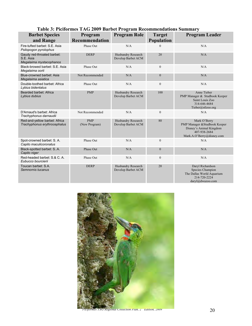| <b>Barbet Species</b><br>and Range                                 | Program<br><b>Recommendation</b> | <b>Program Role</b>                      | <b>Target</b><br><b>Population</b> | <b>Program Leader</b>                                                                                                 |
|--------------------------------------------------------------------|----------------------------------|------------------------------------------|------------------------------------|-----------------------------------------------------------------------------------------------------------------------|
| Fire-tufted barbet: S.E. Asia<br>Psilopogon pyrolophus             | Phase Out                        | N/A                                      | $\theta$                           | N/A                                                                                                                   |
| Gaudy red-throated barbet:<br>S.E. Asia<br>Megalaima mystacophanos | <b>DERP</b>                      | Husbandry Research<br>Develop Barbet ACM | 20                                 | N/A                                                                                                                   |
| Black-browed barbet: S.E. Asia<br>Megalaima oorti                  | Phase Out                        | N/A                                      | $\mathbf{0}$                       | N/A                                                                                                                   |
| Blue-crowned barbet: Asia<br>Megalaima asiatica                    | Not Recommended                  | N/A                                      | $\mathbf{0}$                       | N/A                                                                                                                   |
| Double-toothed barbet: Africa<br>Lybius bidentatus                 | Phase Out                        | N/A                                      | $\mathbf{0}$                       | N/A                                                                                                                   |
| Bearded barbet: Africa<br>Lybius dubius                            | <b>PMP</b>                       | Husbandry Research<br>Develop Barbet ACM | 100                                | Anne Tieber<br>PMP Manager & Studbook Keeper<br>Saint Louis Zoo<br>314-646-4684<br>Tieber@stlzoo.org                  |
| D'Arnaud's barbet: Africa<br>Trachyphonus darnaudii                | Not Recommended                  | N/A                                      | $\boldsymbol{0}$                   | N/A                                                                                                                   |
| Red-and-yellow barbet: Africa<br>Trachyphonus erythrocephalus      | <b>PMP</b><br>(New Program)      | Husbandry Research<br>Develop Barbet ACM | 80                                 | Mark O'Berry<br>PMP Manager & Studbook Keeper<br>Disney's Animal Kingdom<br>407-938-2684<br>Mark.A.O'Berry@disney.com |
| Spot-crowned barbet: S. A.<br>Capito maculicoronatus               | Phase Out                        | N/A                                      | $\boldsymbol{0}$                   | N/A                                                                                                                   |
| Black-spotted barbet: S.A.<br>Capito niger                         | Phase Out                        | N/A                                      | $\boldsymbol{0}$                   | N/A                                                                                                                   |
| Red-headed barbet: S.& C. A.<br>Eubucco bourcierii                 | Phase Out                        | N/A                                      | $\mathbf{0}$                       | N/A                                                                                                                   |
| Toucan barbet: S.A.<br>Semnornis tucanus                           | <b>DERP</b>                      | Husbandry Research<br>Develop Barbet ACM | 20                                 | Daryl Richardson<br>Species Champion<br>The Dallas World Aquarium<br>214-720-2224<br>daryl@dwazoo.com                 |

#### **Table 3: Piciformes TAG 2009 Barbet Program Recommendations Summary**



*Piciformes TAG Regional Collection Plan, 2nd Edition, 2009* 20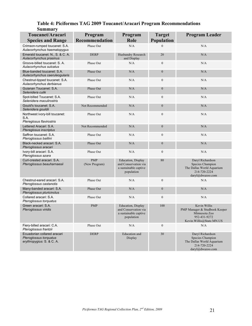#### **Table 4: Piciformes TAG 2009 Toucanet/Aracari Program Recommendations**

| <b>Summary</b>                                                                     |                             |                                                                                   |                   |                                                                                                            |
|------------------------------------------------------------------------------------|-----------------------------|-----------------------------------------------------------------------------------|-------------------|------------------------------------------------------------------------------------------------------------|
| Toucanet/Aracari                                                                   | Program                     | Program                                                                           | <b>Target</b>     | <b>Program Leader</b>                                                                                      |
| <b>Species and Range</b>                                                           | <b>Recommendation</b>       | Role                                                                              | <b>Population</b> |                                                                                                            |
| Crimson-rumped toucanet: S.A.<br>Aulacorhynchus haematopygus                       | Phase Out                   | N/A                                                                               | $\boldsymbol{0}$  | N/A                                                                                                        |
| Emerald toucanet: N., S. & C. A.<br>Aulacorhynchus prasinus                        | <b>DERP</b>                 | Husbandry Research<br>and Display                                                 | 20                | N/A                                                                                                        |
| Groove-billed toucanet: S. A.<br>Aulacorhynchus sulcatus                           | Phase Out                   | N/A                                                                               | $\boldsymbol{0}$  | N/A                                                                                                        |
| Blue-banded toucanet: S.A.<br>Aulacorhynchus caeruleogularis                       | Phase Out                   | N/A                                                                               | $\boldsymbol{0}$  | N/A                                                                                                        |
| Chestnut-tipped toucanet: S.A.<br>Aulacorhynchus derbianus                         | Phase Out                   | N/A                                                                               | $\boldsymbol{0}$  | N/A                                                                                                        |
| Guianan Toucanet: S.A.<br>Selenidera culik                                         | Phase Out                   | N/A                                                                               | $\boldsymbol{0}$  | N/A                                                                                                        |
| Spot-billed Toucanet: S.A.<br>Selenidera maculirostris                             | Phase Out                   | N/A                                                                               | $\boldsymbol{0}$  | N/A                                                                                                        |
| Gould's toucanet: S.A.<br>Selenidera gouldii                                       | Not Recommended             | N/A                                                                               | $\boldsymbol{0}$  | N/A                                                                                                        |
| Northwest ivory-bill toucanet:<br>S.A.<br>Ptereglosus flavirostris                 | Phase Out                   | N/A                                                                               | $\boldsymbol{0}$  | N/A                                                                                                        |
| Lettered Aracari: S.A.<br>Ptereglosus inscriptus                                   | Not Recommended             | N/A                                                                               | $\boldsymbol{0}$  | N/A                                                                                                        |
| Saffron toucanet: S.A.<br>Pteroglossus baillini                                    | Phase Out                   | N/A                                                                               | $\boldsymbol{0}$  | N/A                                                                                                        |
| Black-necked aracari: S.A.<br>Pteroglossus aracari                                 | Phase Out                   | N/A                                                                               | $\boldsymbol{0}$  | N/A                                                                                                        |
| Ivory-bill aracari: S.A.<br>Pteroglossus azara                                     | Phase Out                   | N/A                                                                               | $\boldsymbol{0}$  | N/A                                                                                                        |
| Curl-crested aracari: S.A.<br>Pteroglossus beauharnaesii                           | <b>PMP</b><br>(New Program) | Education, Display<br>and Conservation via<br>a sustainable captive<br>population | 80                | Daryl Richardson<br>Species Champion<br>The Dallas World Aquarium<br>214-720-2224<br>daryl@dwazoo.com      |
| Chestnut-eared aracari: S.A.<br>Pteroglossus castanotis                            | Phase Out                   | N/A                                                                               | $\boldsymbol{0}$  | N/A                                                                                                        |
| Many-banded aracari: S.A.<br>Pteroglossus pluricinctus                             | Phase Out                   | N/A                                                                               | $\boldsymbol{0}$  | N/A                                                                                                        |
| Collared aracari: S.A.<br>Pteroglossus torquatus                                   | Phase Out                   | N/A                                                                               | $\boldsymbol{0}$  | N/A                                                                                                        |
| Green aracari: S.A.<br>Pteroglossus viridis                                        | <b>PMP</b>                  | Education, Display<br>and Conservation via<br>a sustainable captive<br>population | 100               | Kevin Willis<br>PMP Manager & Studbook Keeper<br>Minnesota Zoo<br>952-431-9272<br>Kevin.Willis@State.MN.US |
| Fiery-billed aracari: C.A.<br>Pteroglossus frantzii                                | Phase Out                   | N/A                                                                               | $\mathbf{0}$      | N/A                                                                                                        |
| Ecuadorian collared aracari<br>Pteroglossus torquatus<br>erythropygius: S. & C. A. | <b>DERP</b>                 | Education and<br>Display                                                          | 30                | Daryl Richardson<br>Species Champion<br>The Dallas World Aquarium<br>214-720-2224<br>daryl@dwazoo.com      |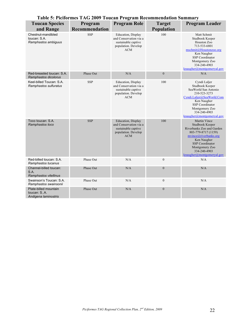|                                                               | Table 5: Piciformes TAG 2009 Toucan Program Recommendation Summary |                                                                                                                  |                  |                                                                                                                                                                                                                      |
|---------------------------------------------------------------|--------------------------------------------------------------------|------------------------------------------------------------------------------------------------------------------|------------------|----------------------------------------------------------------------------------------------------------------------------------------------------------------------------------------------------------------------|
| <b>Toucan Species</b>                                         | Program                                                            | <b>Program Role</b>                                                                                              | <b>Target</b>    | <b>Program Leader</b>                                                                                                                                                                                                |
| and Range                                                     | Recommendation                                                     |                                                                                                                  | Population       |                                                                                                                                                                                                                      |
| Chestnut-mandibled<br>toucan: S.A.<br>Ramphastos ambiguus     | <b>SSP</b>                                                         | Education, Display<br>and Conservation via a<br>sustainable captive<br>population. Develop<br><b>ACM</b>         | 100              | Matt Schmit<br>Studbook Keeper<br>Houston Zoo<br>713-533-6801<br>mschmit@Houstonzoo.org<br>Ken Naugher<br>SSP Coordinator<br>Montgomery Zoo<br>334-240-4903<br>$k$ naugher@montgomeryal.gov                          |
| Red-breasted toucan: S.A.<br>Ramphastos dicolorus             | Phase Out                                                          | N/A                                                                                                              | $\boldsymbol{0}$ | N/A                                                                                                                                                                                                                  |
| Keel-billed Toucan: S.A.<br>Ramphastos sulfuratus             | <b>SSP</b>                                                         | Education, Display<br>and Conservation via a<br>sustainable captive<br>population. Develop<br><b>ACM</b>         | 100              | Cyndi Laljer<br>Studbook Keeper<br>SeaWorld San Antonio<br>210-523-3273<br>Cyndi.Laljer@SeaWorld.Com<br>Ken Naugher<br>SSP Coordinator<br>Montgomery Zoo<br>334-240-4903<br>$k$ naugher@montgomeryal.gov             |
| Toco toucan: S.A.<br>Ramphastos toco                          | <b>SSP</b>                                                         | <b>Education</b> , Display<br>and Conservation via a<br>sustainable captive<br>population. Develop<br><b>ACM</b> | 100              | Martin Vince<br>Studbook Keeper<br>Riverbanks Zoo and Garden<br>803-779-8717 (1159)<br>mvince@riverbanks.org<br>Ken Naugher<br><b>SSP</b> Coordinator<br>Montgomery Zoo<br>334-240-4903<br>knaugher@montgomeryal.gov |
| Red-billed toucan: S.A.<br>Ramphastos tucanus                 | Phase Out                                                          | N/A                                                                                                              | $\mathbf{0}$     | N/A                                                                                                                                                                                                                  |
| Channel-billed toucan:<br>S.A.<br>Ramphastos vitellinus       | Phase Out                                                          | N/A                                                                                                              | $\boldsymbol{0}$ | N/A                                                                                                                                                                                                                  |
| Swainson's Toucan: S.A.<br>Ramphastos swainsonii              | Phase Out                                                          | N/A                                                                                                              | $\boldsymbol{0}$ | N/A                                                                                                                                                                                                                  |
| Plate-billed mountain<br>toucan: S.A.<br>Andigena laminostris | Phase Out                                                          | N/A                                                                                                              | $\boldsymbol{0}$ | N/A                                                                                                                                                                                                                  |

#### **Table 5: Piciformes TAG 2009 Toucan Program Recommendation Summary**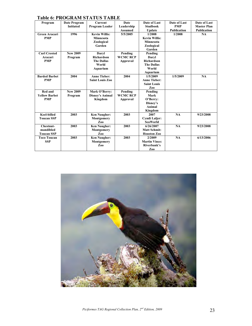| Program              | 1 AVIV VI 1 1 NO SI NJIH DI LI 1 UD<br>Date Program | <b>Current</b>         | Date            | Date of Last         | Date of Last       | Date of Last       |
|----------------------|-----------------------------------------------------|------------------------|-----------------|----------------------|--------------------|--------------------|
|                      | <b>Initiated</b>                                    | Program Leader         | Leadership      | <b>Studbook</b>      | <b>PMP</b>         | <b>Master Plan</b> |
|                      |                                                     |                        | <b>Assumed</b>  | Update               | <b>Publication</b> | <b>Publication</b> |
| Green Aracari        | 1996                                                | <b>Kevin Willis:</b>   | 5/5/2005        | 1/2008               | 1/2008             | NA                 |
| <b>PMP</b>           |                                                     | <b>Minnesota</b>       |                 | <b>Kevin Willis:</b> |                    |                    |
|                      |                                                     | Zoological             |                 | Minnesota            |                    |                    |
|                      |                                                     | Garden                 |                 | Zoological           |                    |                    |
|                      |                                                     |                        |                 | Garden               |                    |                    |
| <b>Curl Crested</b>  | <b>New 2009</b>                                     | Daryl                  | Pending         | Pending              |                    |                    |
| Aracari              | Program                                             | <b>Richardson</b>      | <b>WCMC RCP</b> | Daryl                |                    |                    |
| <b>PMP</b>           |                                                     | <b>The Dallas</b>      | Approval        | <b>Richardson</b>    |                    |                    |
|                      |                                                     | World                  |                 | <b>The Dallas</b>    |                    |                    |
|                      |                                                     | Aquarium               |                 | World                |                    |                    |
|                      |                                                     |                        |                 | Aquarium             |                    |                    |
| <b>Barded Barbet</b> | 2004                                                | <b>Anne Tieber:</b>    | 2004            | 1/5/2009             | 1/5/2009           | NA                 |
| <b>PMP</b>           |                                                     | <b>Saint Louis Zoo</b> |                 | <b>Anne Tieber:</b>  |                    |                    |
|                      |                                                     |                        |                 | <b>Saint Louis</b>   |                    |                    |
|                      |                                                     |                        |                 | Zoo                  |                    |                    |
| Red and              | <b>New 2009</b>                                     | Mark O'Berry:          | Pending         | Pending              |                    |                    |
| <b>Yellow Barbet</b> | Program                                             | Disney's Animal        | <b>WCMC RCP</b> | Mark                 |                    |                    |
| <b>PMP</b>           |                                                     | Kingdom                | Approval        | O'Berry:             |                    |                    |
|                      |                                                     |                        |                 | Disney's             |                    |                    |
|                      |                                                     |                        |                 | Animal               |                    |                    |
|                      |                                                     |                        |                 | Kingdom              |                    |                    |
| <b>Keel-billed</b>   | 2003                                                | <b>Ken Naugher:</b>    | 2003            | 2007                 | <b>NA</b>          | 9/23/2008          |
| <b>Toucan SSP</b>    |                                                     | Montgomery             |                 | <b>Cyndi Lalier:</b> |                    |                    |
|                      |                                                     | Zoo                    |                 | <b>SeaWorld</b>      |                    |                    |
| Chestnut-            | 2003                                                | <b>Ken Naugher:</b>    | 2003            | 6/26/2007            | <b>NA</b>          | 9/23/2008          |
| mandibled            |                                                     | Montgomery             |                 | <b>Matt Schmit:</b>  |                    |                    |
| <b>Toucan SSP</b>    |                                                     | Zoo                    |                 | <b>Houston Zoo</b>   |                    |                    |
| <b>Toco Toucan</b>   | 2003                                                | <b>Ken Naugher:</b>    | 2003            | 2/2009               | <b>NA</b>          | 6/13/2006          |
| <b>SSP</b>           |                                                     | Montgomery             |                 | <b>Martin Vince:</b> |                    |                    |
|                      |                                                     | Zoo                    |                 | Riverbank's          |                    |                    |
|                      |                                                     |                        |                 | Zoo                  |                    |                    |

#### **Table 6: PROGRAM STATUS TABLE**

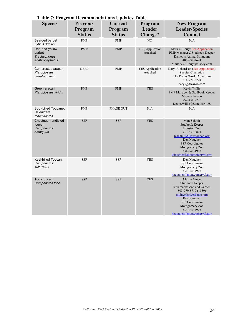| <b>Species</b>                                              | <b>Previous</b><br>Program<br><b>Status</b> | <b>Current</b><br>Program<br><b>Status</b> | Program<br>Leader<br><b>Change?</b> | <b>New Program</b><br><b>Leader/Species</b><br>Contact                                                                                                                                                                  |
|-------------------------------------------------------------|---------------------------------------------|--------------------------------------------|-------------------------------------|-------------------------------------------------------------------------------------------------------------------------------------------------------------------------------------------------------------------------|
| <b>Bearded barbet</b><br>Lybius dubius                      | <b>PMP</b>                                  | <b>PMP</b>                                 | NO                                  | N/A                                                                                                                                                                                                                     |
| Red-and-yellow<br>barbet<br>Trachyphonus<br>erythrocephalus | <b>PMP</b>                                  | <b>PMP</b>                                 | YES, Application<br>Attached        | Mark O'Berry: See Application<br>PMP Manager & Studbook Keeper<br>Disney's Animal Kingdom<br>407-938-2684<br>Mark.A.O'Berry@disney.com                                                                                  |
| Curl-crested aracari<br>Pteroglossus<br>beauharnaesii       | <b>DERP</b>                                 | <b>PMP</b>                                 | <b>YES</b> Application<br>Attached  | Daryl Richardson (See Application)<br>Species Champion<br>The Dallas World Aquarium<br>214-720-2224<br>daryl@dwazoo.com                                                                                                 |
| Green aracari<br>Pteroglossus viridis                       | <b>PMP</b>                                  | <b>PMP</b>                                 | <b>YES</b>                          | Kevin Willis<br>PMP Manager & Studbook Keeper<br>Minnesota Zoo<br>952-431-9272<br>Kevin. Willis@State.MN.US                                                                                                             |
| Spot-billed Toucanet<br>Selenidera<br>maculirostris         | <b>PMP</b>                                  | PHASE OUT                                  | N/A                                 | N/A                                                                                                                                                                                                                     |
| Chestnut-mandibled<br>toucan<br>Ramphastos<br>ambiguus      | <b>SSP</b>                                  | <b>SSP</b>                                 | <b>YES</b>                          | Matt Schmit<br>Studbook Keeper<br>Houston Zoo<br>713-533-6801<br>mschmit@Houstonzoo.org<br>Ken Naugher<br><b>SSP</b> Coordinator<br>Montgomery Zoo<br>334-240-4903<br>$k$ naugher@montgomeryal.gov                      |
| Keel-billed Toucan<br>Ramphastos<br>sulfuratus              | <b>SSP</b>                                  | <b>SSP</b>                                 | <b>YES</b>                          | Ken Naugher<br>SSP Coordinator<br>Montgomery Zoo<br>334-240-4903<br>$k$ naugher@montgomeryal.gov                                                                                                                        |
| Toco toucan<br>Ramphastos toco                              | <b>SSP</b>                                  | <b>SSP</b>                                 | <b>YES</b>                          | Martin Vince<br>Studbook Keeper<br>Riverbanks Zoo and Garden<br>803-779-8717 (1159)<br>mvince@riverbanks.org<br>Ken Naugher<br><b>SSP</b> Coordinator<br>Montgomery Zoo<br>334-240-4903<br>$k$ naugher@montgomeryal.gov |

#### **Table 7: Program Recommendations Updates Table**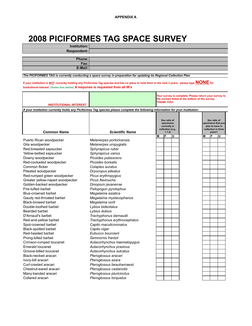#### **2008 PICIFORMES TAG SPACE SURVEY**

| Institution: |  |
|--------------|--|
| Respondent:  |  |
|              |  |
| Phone:       |  |
| Fax:         |  |
| E-Mail:      |  |

*The PICIFORMES TAG is currently conducting a space survey in preparation for updating its Regional Collection Plan* 

**If your institution is NOT currently holding any Piciformes Tag species and has no plans to hold them in the next 3 years; please type NONE for Institutional Interest. (Green box below) A response is requested from all IR's**

|                                 |                                                                                                                                | Your survey is complete. Please return your survey to<br>the contact listed at the bottom of the survey.<br><b>THANK YOU!</b> |   |   |                                                                                        |   |   |   |
|---------------------------------|--------------------------------------------------------------------------------------------------------------------------------|-------------------------------------------------------------------------------------------------------------------------------|---|---|----------------------------------------------------------------------------------------|---|---|---|
| <b>INSTITUTIONAL INTEREST</b>   |                                                                                                                                |                                                                                                                               |   |   |                                                                                        |   |   |   |
|                                 | If your institution currently holds any Piciformes Tag species please complete the following information for your institution: |                                                                                                                               |   |   |                                                                                        |   |   |   |
| <b>Common Name</b>              | <b>Scientific Name</b>                                                                                                         | Sex ratio of<br>specimens<br>currently in<br>collection (e.g.,<br>1.1.2                                                       |   |   | Sex ratio of<br>specimens that you<br>plan to have in<br>collection in three<br>years? |   |   |   |
| Puerto Rican woodpecker         | Melanerpes portoricensis                                                                                                       | М                                                                                                                             | F | U |                                                                                        | М | F | U |
| Gila woodpecker                 | Melanerpes uropygialis                                                                                                         |                                                                                                                               |   |   |                                                                                        |   |   |   |
| Red-breasted sapsucker          |                                                                                                                                |                                                                                                                               |   |   |                                                                                        |   |   |   |
| Yellow-bellied sapsucker        | Sphyrapicus ruber<br>Sphyrapicus varius                                                                                        |                                                                                                                               |   |   |                                                                                        |   |   |   |
| Downy woodpecker                | Picoides pubescens                                                                                                             |                                                                                                                               |   |   |                                                                                        |   |   |   |
| Red-cockaded woodpecker         | Picoides borealis                                                                                                              |                                                                                                                               |   |   |                                                                                        |   |   |   |
| Common flicker                  | Colaptes auratus                                                                                                               |                                                                                                                               |   |   |                                                                                        |   |   |   |
| Pileated woodpecker             | Dryocopus pileatus                                                                                                             |                                                                                                                               |   |   |                                                                                        |   |   |   |
| Red-rumped green woodpecker     | Picus erythropygius                                                                                                            |                                                                                                                               |   |   |                                                                                        |   |   |   |
| Greater yellow-naped woodpecker | Picus flavinucha                                                                                                               |                                                                                                                               |   |   |                                                                                        |   |   |   |
| Golden-backed woodpecker        | Dinopium javanense                                                                                                             |                                                                                                                               |   |   |                                                                                        |   |   |   |
| Fire-tufted barbet              | Psilopogon pyrolophus                                                                                                          |                                                                                                                               |   |   |                                                                                        |   |   |   |
| Blue-crowned barbet             | Megalaima asiatica                                                                                                             |                                                                                                                               |   |   |                                                                                        |   |   |   |
| Gaudy red-throated barbet       | Megalaima mystacophanos                                                                                                        |                                                                                                                               |   |   |                                                                                        |   |   |   |
| <b>Black-browed barbet</b>      | Megalaima oorti                                                                                                                |                                                                                                                               |   |   |                                                                                        |   |   |   |
| Double-toothed barbet           | Lybius bidentatus                                                                                                              |                                                                                                                               |   |   |                                                                                        |   |   |   |
| Bearded barbet                  | Lybius dubius                                                                                                                  |                                                                                                                               |   |   |                                                                                        |   |   |   |
| D'Arnaud's barbet               | Trachyphonus darnaudii                                                                                                         |                                                                                                                               |   |   |                                                                                        |   |   |   |
| Red-and-yellow barbet           | Trachyphonus erythrocephalus                                                                                                   |                                                                                                                               |   |   |                                                                                        |   |   |   |
| Spot-crowned barbet             | Capito maculicoronatus                                                                                                         |                                                                                                                               |   |   |                                                                                        |   |   |   |
| Black-spotted barbet            | Capito niger                                                                                                                   |                                                                                                                               |   |   |                                                                                        |   |   |   |
| Red-headed barbet               | Eubucco bourcierii                                                                                                             |                                                                                                                               |   |   |                                                                                        |   |   |   |
| Prong-billed barbet             | Semnornis frantzii                                                                                                             |                                                                                                                               |   |   |                                                                                        |   |   |   |
| Crimson-rumped toucanet         | Aulacorhynchus haematopygus                                                                                                    |                                                                                                                               |   |   |                                                                                        |   |   |   |
| <b>Emerald toucanet</b>         | Aulacorhynchus prasinus                                                                                                        |                                                                                                                               |   |   |                                                                                        |   |   |   |
| Groove-billed toucanet          | Aulacorhynchus sulcatus                                                                                                        |                                                                                                                               |   |   |                                                                                        |   |   |   |
| Black-necked aracari            | Pteroglossus aracari                                                                                                           |                                                                                                                               |   |   |                                                                                        |   |   |   |
| Ivory-bill aracari              | Pteroglossus azara                                                                                                             |                                                                                                                               |   |   |                                                                                        |   |   |   |
| Curl-crested aracari            | Pteroglossus beauharnaesii                                                                                                     |                                                                                                                               |   |   |                                                                                        |   |   |   |
| Chestnut-eared aracari          | Pteroglossus castanotis                                                                                                        |                                                                                                                               |   |   |                                                                                        |   |   |   |
| Many-banded aracari             | Pteroglossus pluricinctus                                                                                                      |                                                                                                                               |   |   |                                                                                        |   |   |   |
| Collared aracari                | Pteroglossus torquatus                                                                                                         |                                                                                                                               |   |   |                                                                                        |   |   |   |
|                                 |                                                                                                                                |                                                                                                                               |   |   |                                                                                        |   |   |   |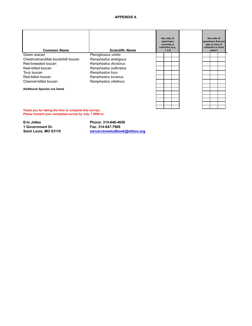#### **APPENDIX A**

| <b>Common Name</b>                   | <b>Scientific Name</b> | Sex ratio of<br>specimens<br>currently in<br>collection (e.g.,<br>1.1.2) |  | Sex ratio of<br>specimens that you<br>plan to have in<br>collection in three<br>years? |  |
|--------------------------------------|------------------------|--------------------------------------------------------------------------|--|----------------------------------------------------------------------------------------|--|
| Green aracari                        | Pteroglossus viridis   |                                                                          |  |                                                                                        |  |
| Chestnutmandible bicolorbill toucan  | Ramphastos ambiguus    |                                                                          |  |                                                                                        |  |
| Red-breasted toucan                  | Ramphastos dicolorus   |                                                                          |  |                                                                                        |  |
| Keel-billed toucan                   | Ramphastos sulfuratus  |                                                                          |  |                                                                                        |  |
| Toco toucan                          | Ramphastos toco        |                                                                          |  |                                                                                        |  |
| Red-billed toucan                    | Ramphastos tucanus     |                                                                          |  |                                                                                        |  |
| Channel-billed toucan                | Ramphastos vitellinus  |                                                                          |  |                                                                                        |  |
| <b>Additional Species not listed</b> |                        |                                                                          |  |                                                                                        |  |
|                                      |                        |                                                                          |  |                                                                                        |  |
|                                      |                        |                                                                          |  |                                                                                        |  |
|                                      |                        |                                                                          |  |                                                                                        |  |
|                                      |                        |                                                                          |  |                                                                                        |  |
| .                                    |                        |                                                                          |  |                                                                                        |  |

**Thank you for taking the time to complete this survey! Please forward your completed survey by July, 1 2008 to:**

**Eric Jeltes Phone: 314-646-4656 1 Governmant Dr. Fax: 314-647-7969**

**Saint Louis, MO 63110 saruscranestudbook@stlzoo.org**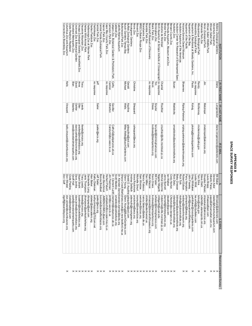## **APPENDIX B<br>SPACE SURVEY RESPONSES SPACE SURVEY RESPONSES APPENDIX B**

|                                                                                       | R FIRST NAME      | <b>NAME</b>      |                                                    |                                              | E-MAI                                                    | Received completed Survey        |
|---------------------------------------------------------------------------------------|-------------------|------------------|----------------------------------------------------|----------------------------------------------|----------------------------------------------------------|----------------------------------|
| Abilene Zoological Gardens                                                            | Diane             | Longenecker      | diane.longenecker@abilenetx.com                    | <b>Bill Baker</b>                            | Bill.baker@<br>abilenetx.com                             |                                  |
| Adventure Aquarium                                                                    |                   |                  |                                                    | Denise Aster                                 | daster@Ad<br>lventureAquarium.com                        | $\times\times\times$             |
| Africam Safari Park<br>African Safari Wildlife Park                                   |                   |                  |                                                    | Alberto Paras<br>-aura Bragg                 | pago@afric<br>moaswp@<br>aol.com<br>samsafari.com.mx     |                                  |
| Akron Zoological Park                                                                 | È                 | Metzinger        | jmetzinger@akronzoo.org                            | Douglas Piekarz                              | dmpiekarz@akronzoo.org                                   | ×                                |
| Alameda Park Zoo                                                                      |                   |                  |                                                    | <b>Steve Diehl</b>                           | sdiehl@ci.alamogordo.nm.us                               |                                  |
| Albuquerque Biological Park                                                           | Randy             | <b>McKenney</b>  | mckenney@cabq.gov                                  | Tom Silva                                    | tsilva@cabq.gov                                          | ×                                |
| Alexandria Zoological Park                                                            | no response       |                  |                                                    | Leslie Whitt                                 | es.whitt@c<br>cityofalex.com                             |                                  |
| Aquarium & Rainforest at Moody Gardens, Inc.                                          | Paula             | Kolvig           | pkolvig@moodygardens.com                           | <b>Greg Whittaker</b>                        | gwhittaker@moodygardens.com                              | ×                                |
| Aquarium of the Bay                                                                   |                   |                  |                                                    | John Frawley                                 | johnf@aquariumofthebay.com                               |                                  |
| Aquarium of the Pacific                                                               |                   |                  |                                                    | Perry Hamptor                                | pro.qondl@notqmnhq                                       | $\times\times$                   |
| Arizona-Sonora Desert Museum                                                          | <b>Shawnee</b>    | Riplog-Peterson  | sriplog-peterson@desertmuseum.org                  | Robert Edison                                | redison@d<br>esertmuseum.org                             |                                  |
| Audubon Aquarium of the Americas                                                      |                   |                  |                                                    | <b>Rich Toth</b>                             | rtoth@audi<br>boninstitute.org                           |                                  |
| Audubon Center for Research of Endangered Spec                                        |                   |                  |                                                    | Betsy Dresser                                | bldresser@<br>gauduboninstitute.org                      |                                  |
| Audubon Zoo                                                                           | <b>Susan</b>      | Maddocks         | smaddocks@auduboninstitute.org                     | Rick Dietz                                   | rdietz@AudubonInstitute.org                              |                                  |
| Bergen County Zoo                                                                     |                   |                  |                                                    | <b>Cindy Norton</b>                          | CNorton@co.bergen.nj.us                                  |                                  |
| Bermuda Aquarium, Museum and Zoo                                                      |                   |                  |                                                    | lan Walker                                   | idwalker@gov.bm                                          | $\times\times\times\times\times$ |
| Binder Park Zoo                                                                       |                   |                  |                                                    | Jenny Barnett                                | barnett@b<br>inderparkzoo.org                            |                                  |
| Birch Aquarium at Scripps Institute of Oceanograph no response<br>Biodome de Montreal | Chantal           | <b>Routhier</b>  | crouthier@ville.montreal.qc.ca                     | Nigella Hillgarth<br>Michel Delorme          | nhillgarth@<br>mdelorme@ville.montreal.qc.ca<br>ucsd.edu |                                  |
| Birmingham Zoo                                                                        | $\equiv$          | Snyder           | tsnyder@birminghamzoo.com                          | Bill Foster                                  | wfoster@bi<br>rminghamzoo.com                            |                                  |
| Blank Park Zoo                                                                        | Kevin             | Drees            | kvdrees@blankparkzoo.org                           | Kevin Drees                                  | kvdrees@t<br>lankparkzoo.org                             |                                  |
| Boonshoft Museum of Discovery                                                         | no response       |                  |                                                    | Mark Mazzei                                  | mmazzei@<br>boonshoftmuseum.org                          |                                  |
| Bramble Park Zoo                                                                      |                   |                  |                                                    | Dan Miller                                   | dmiller@watertownsd.us                                   |                                  |
| Brandywine Zoo                                                                        |                   |                  |                                                    | Nancy Falasco                                | nancy.falasco@state.de.us                                |                                  |
| BREC's Baton Rouge Zoo                                                                |                   |                  |                                                    | Sam Winslow                                  | swinslow@<br><b>przoo.org</b>                            |                                  |
| Brevard Zoo                                                                           |                   |                  |                                                    | Michelle Smurl                               | msmuri@b<br>revardzoo.org                                |                                  |
| <b>Bronx Zoo</b>                                                                      | Christine         | <b>Sheppard</b>  | csheppard@wcs.org                                  | <b>Anne Rockmore</b>                         | arockmore@wcs.org                                        | <b>xxxxxxxxxx</b>                |
| <b>Brookgreen Gardens</b>                                                             |                   |                  |                                                    | Andrea DeMuth                                | ademuth@<br>brookgreen.org                               |                                  |
| Buffalo Zoological Gardens<br>Busch Gardens Tampa Bay                                 | Michael<br>Gerald | Wells<br>Aquilma | gdaquilina@aol.com<br>Mike. Wells@BuschGardens.com |                                              | Gerald D. Aquilina gdaquilina@aol.com                    |                                  |
| Buttonwood Park Zoo                                                                   |                   |                  |                                                    | Shara Crook-Marti shara.crool<br>Glenn Young | Glenn. Young@BuschGardens.com<br>@ci.new-bedford.ma.us   |                                  |
| Cabrillo Marine Aquarium                                                              |                   |                  |                                                    | Dr. Kiersten Darro kiersten da               | rrow@lacity.org                                          |                                  |
| Caldwell Zoo                                                                          |                   |                  |                                                    | Scott Maddox                                 | <b>Smaddox</b> @<br>caldwellzoo.org                      |                                  |
| Calgary Zoo, Botanical Garden & Prehistoric Park                                      | Cathy             | Gaviller         | CathyG@calgaryzoo.ab.ca                            | Dr. Clement Lanth clementl@                  | calgaryzoo.ab.ca                                         | $\times\times\times\times\times$ |
| Cameron Park Zoo                                                                      | Carolyn           | Atherton         | CarolynA@ci.waco.tx.us                             | Jim Fleshman                                 | imf@ci.waco.tx.us                                        |                                  |
| Cape May County Park Zoo                                                              | no response       |                  |                                                    | Herbert Paluch                               | zvetpaluch@co.cape-may.nj.us                             |                                  |
| Capron Park Zoo                                                                       |                   |                  |                                                    | Jean Benchimol                               | <b>JMBENCH</b><br>MOL@aol.com                            |                                  |
| Central Florida Zoological Park                                                       |                   |                  |                                                    | <b>Bonnie Breitbei</b>                       | bonnieb@centralfloridazoo.org                            | $\times\times\times$             |
| Central Park Zoo                                                                      | jeff              | <b>Sailer</b>    | jsailer@wcs.org                                    | Jeff Sailer                                  | sailer@wcs.org                                           |                                  |
| Chahinkapa Zoo                                                                        | no response       |                  |                                                    | Kathy Diekman                                | kathychnkpzoo@702com.net                                 |                                  |
| Charles Paddock Zoo                                                                   |                   |                  |                                                    | Alan Baker                                   | abaker@atascadero.org                                    |                                  |
| Chattanooga Zoo at Warner Park                                                        |                   |                  |                                                    | Dardanelle Long                              | 0zdwbuojp<br>aol.com                                     |                                  |
| Chehaw Wild Animal Park                                                               |                   |                  |                                                    | Janis I hompson                              | jthompson@parksatchehaw.org                              |                                  |
| Cheyenne Mountain Zoo                                                                 | Iracy             | eeds             | tleeds@cmzoo.org                                   | Iracy Leeds                                  | tleeds@cm<br><b>200.0rg</b>                              | <b>xxxxxxx</b>                   |
| Chicago Zoological Society - Brookfield Zoo                                           | Anne              | Oller            | anoiler@brookfieldzoo.org                          | <b>Stuart Strahl</b>                         | bzadmin@brookfieldzoo.org                                |                                  |
| Cincinnati Zoo & Botanical Garden                                                     | David             | Oehler           | david.oehler@cincinnatizoo.org                     | Dave Jenike                                  | dave jenike<br>@cincinnatizoo.org                        |                                  |
| Cleveland Metroparks Zoo                                                              | Stan              | Searles          | sws@clevelandmetroparks.com                        | Geoff Hall                                   | gseh@clev<br>relandmetroparks.com                        |                                  |
| Clyde Peeling's Reptiland                                                             |                   |                  |                                                    | Clyde Peeling                                | clyde@rept<br>iland.com                                  |                                  |
| Columbus Zoo and Aquarium                                                             | Kelly             | Vineyard         | kelly. vineyard@columbuszoo.org                    | Don Winstel                                  | don.winstel<br>@columbuszoo.org                          | ×                                |
| Connecticut's Beardsley Zoo                                                           |                   |                  |                                                    | Don Goff                                     | dgoff@beardsleyzoo.org                                   |                                  |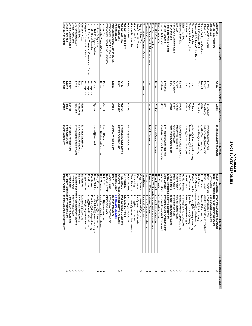## **APPENDIX B<br>SPACE SURVEY RESPONSES SPACE SURVEY RESPONSES APPENDIX B**

|                                  | records@lioncountrysafari.com                | Marsha Abrams              | kbardee@aol.com                | Urban            | Denise        | Lion Country Safari                          |
|----------------------------------|----------------------------------------------|----------------------------|--------------------------------|------------------|---------------|----------------------------------------------|
|                                  | Dr. Robyn Barbieri rbarbiers@lpzoo.org       |                            | mross@lpzoo.org                | Ross             | Megan         | Lincoln Park Zoo                             |
|                                  | J@odeup<br>incolnZoo.org                     | John Chapo                 | rscheer@lincolnzoo.org         | Scheer           | <b>Randy</b>  | incoln Children's Zoo                        |
|                                  | tlaporte@<br><b>DIO.00SV</b>                 | Tony LaPorte               |                                |                  |               | -ehigh Valley Zoo                            |
|                                  | Stephanie Fonten sfontenot@garden-city.org   |                            | knewland@garden-city.org       | <b>Newland</b>   | Kristi        | Lee Richardson Zoo                           |
| $\times\times\times\times\times$ | new@knc<br>wwille-zoo.org                    | isa New                    | marka@knoxville-zoo.org        | <b>Armstrong</b> | Mark          | Knoxville Zoo                                |
|                                  | izharmon@fotzkc.org                          | iz Harmon                  | izharmon@fotzkc.org            | Harmon           | 는             | Kansas City Zoo                              |
|                                  | animals@<br>kangaroocenter.com               | Roger Nelson               |                                |                  | no response   | Kangaroo Conservation Center                 |
|                                  | ericg@the<br>maritimehotel.com               | Eric Goode                 |                                |                  | no response   | John L. Behler Chelonian Conservation Center |
|                                  | Kramirez@sheddaquarium.org                   | Ken Ramirez                |                                |                  | no response   | John G. Shedd Aquarium                       |
|                                  | norah.fletc<br>hall@kentcountymi.gov         | Norah Fletchall            | cheryld@iserv.net              | Dykstra          | <b>Cheryl</b> | John Ball Zoological Garden                  |
|                                  | cindy clar<br>us@jenkinsons.com              | Cindy Claus                |                                |                  |               | Jenkinson's Aquarium                         |
| $\times\times\times$             | messingerd@jacksonvillezoo.org               | Delfi Messinger            | lentzr@jacksonvillezoo.org     | <b>Lentz</b>     | <b>Robin</b>  | lacksonville Zoo and Gardens                 |
|                                  | bpoff@jacksonzoo.org                         | Best Poff                  | diwetzel@msn.com               | <b>Wetzel</b>    | Dave          | lackson Zoo                                  |
|                                  | iefsinc@aol.com                              | Richard Gilbreth           |                                |                  |               | nternational Exotic Feline Sanctuary         |
|                                  | harris@savingcranes.org                      | James Harris               |                                |                  |               | nternational Crane Foundation                |
|                                  | iaebrian@aol.com                             | Brian Hunt                 | LauraASWP@aol.com              | <b>Bragg</b>     | Eaura         | nternational Animal Exchange, Inc.           |
|                                  | <u>dolson@ir</u><br>dvz.00.com               | Deborah Olson              |                                |                  |               | ndianapolis Zoo                              |
|                                  | Charlotte Poepper charlottep@hutchgov.com    |                            | kileyb@hutchgov.com            | <b>Buggeln</b>   | Kiley         | Hutchinson Zoo                               |
| $\times\times$                   | twebster@<br>proustonzoo.org                 | <b>Tricia Webster</b>      | cholmes@houstonzoo.org         | Holmes           | <b>Chris</b>  | Houston Zoo, Inc.                            |
|                                  | prappas@<br>dry.com                          | Jim Prappas                |                                |                  |               | Houston Aquarium, Inc                        |
| ×                                | pluscomb@honolulu.gov                        | Peter Luscomb              | lsantos1@honolulu.gov          | Santos           | Linda         | Honolulu Zoo                                 |
|                                  | tthomton@hensonrobinsonzoo.org               | Talon Thornton             |                                |                  |               | Henson Robinson Zoo                          |
|                                  | hubing@co.dane.wi.us                         | priduH mil                 |                                |                  |               | Henry Vilas Zoo                              |
|                                  | kari@havetrunkwilltravel.com                 | Kari Johnson               |                                |                  |               | Have Trunk Will Travel                       |
| ×                                | gowens10<br>19@aol.com                       | Gregg Owens                |                                |                  |               | Happy Hollow Zoo                             |
|                                  | iheinegdc@aol.com                            | John Heine                 |                                |                  | no response   | Grizzly & Wolf Discovery Center              |
|                                  | bulloci@gr<br>reatergreenville.com           | <b>Jeff Bullock</b>        |                                |                  |               | Greenville Zoo                               |
| $\times\times$                   | buo oozdb                                    | Elizabeth Whealy ewhealy@  | tetzloff@gpzoo.org             | Fetzloff         | ٧ā            | Great Plains Zoo & Delbridge Museum          |
|                                  | @greatapetrust.org                           | Robert W. Shumal rshumaker |                                |                  |               | Great Ape Trust of lowa                      |
| ×                                | dpetefish@peoriazoo.org                      | Dawn Petefish              | dpetefish@peoriazoo.org        | Petefish         | Dawn          | Glen Oak Zoo                                 |
|                                  | Dr. Patrick M. Burdpburchfield@gpz.org       |                            |                                |                  |               | Gladys Porter Zoo                            |
| $\times\times$                   | asnider@<br>resnochaffeezoo.com              | Andrew T. Snider           | asnider@fresnochaffeezoo.com   | Snider           | Andrew        | Fresno Chaffee Zoo                           |
|                                  | imanning@<br>@zoonewengland.com              | Judi Manning               | fbeall@zoonewengland.com       | Beall            | Frederick     | Franklin Park Zoo                            |
|                                  | kelleys@f<br>ossilrim.org                    | Kelley Snodgrass           |                                |                  |               | Fossil Rin Mildite Center                    |
|                                  | records@fortworthzoo.org                     | Annabel Ross               | Kunger@fortworthzoo.org        | Unger            | Katy          | Fort Worth Zoo                               |
|                                  | mark@kidszoo.org                             | Mark Weldon                | vet@kidszoo.org                | Smith            | Dr. Joseph    | Fort Wayne Children's Zoo                    |
| $\times\times\times\times$       | ckreider@eriezoo.org                         | Cindy Kreider              | ckreider@eriezoo.org           | Kreider          | Cindy         | Erie Zoo                                     |
|                                  | rsuarez@elmwoodparkzoo.org                   | Rafael Suarez              | dwood@elmwoodparkzoo.org       | <b>Mood</b>      | David         | Elmwood Park Zoo                             |
|                                  | ghenley@ellentroutzoo.com                    | Gordon Henley              |                                |                  |               | Ellen Trout Zoo                              |
|                                  | kisedajj@elpasotexas.gov                     | John Kiseda                | kisedajj@elpasotexas.gov       | Kiseda           | John          | Paso Zoo                                     |
| $\times\times\times$             | oseph.christman@disney.com                   | Joe Christman              | James. H. Mejeur@disney.com    | Mejeur           | James         | Disney's Animal Kingdom                      |
|                                  | records@dickersonparkzoo.org                 | Kesha Schreiber            | jcollette@dickersonparkzoo.org | Collette         | John          | Dickerson Park Zoo                           |
|                                  | C. E. Steuart Dew cesdewar@gorilla-haven.org |                            |                                |                  |               | Dewar Wildlife Trust/Gorilla Haven           |
|                                  | scarter@d<br>etroitzoo.org                   | Scott Carter               | tschneider@detroitzoo.org      | Schneider        | <b>l</b> am   | Detroit Zoological Park                      |
| $\times\times\times\times$       | <b>kramer@</b><br>denverzoo.org              | <b>Lynn Kramer</b>         | miwillis@denverzoo.org         | Millis           | Mary Jo       | Denver Zoological Gardens                    |
|                                  | charles.sie<br>:gel@dallascityhall.com       | <b>Chuck Siegel</b>        | birdkeeper44@yahoo.com         | Mossbarger       | <b>Sherry</b> | Dallas Zoo                                   |
|                                  | daryl@dwazoo.com                             | <b>Daryl Richardson</b>    | vetcindy@dwazoo.com            | DiGesualdo       | Cindy         | Dallas World Aquarium                        |
|                                  | director@dakotazoo.org                       | <b>Ierry Lincoln</b>       |                                |                  |               | Dakota Zoo                                   |
|                                  | Nikii Finch-Morale Nikii@coyoteptmuseum.org  |                            |                                |                  |               | Coyote Point Museum                          |
| ×                                | swahlgren<br>@wheatonparks.org               | Susan Wahlgren             | keeper2@wheatonparks.org       | Kutilek          | Cassy         | Cosley Zoc                                   |
| Received completed Survey        | E-MAIL                                       |                            |                                | IR LAST NAME     | IR FIRST NAME | NSTITUTION                                   |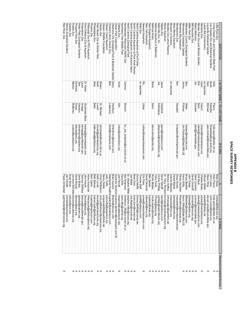## **APENDIX B<br>SPACE SURVEY RESPONSES SPACE SURVEY RESPONSES APPENDIX B**

| $\times$                               | pgrime stad@redriverzoo.org                      | Paula Grimestad              |                                 |                              |               | Red River Zoo                                          |
|----------------------------------------|--------------------------------------------------|------------------------------|---------------------------------|------------------------------|---------------|--------------------------------------------------------|
|                                        | jchristie@<br>racinezoo.org                      | Jay Christie                 |                                 |                              |               | Racine Zoological Gardens                              |
|                                        | ssilver@wcs.org                                  | Scott Silver                 |                                 |                              |               | Queens Zoo                                             |
|                                        | pro.ocsoldeud                                    | Jonnene McFarlar director@p  | curator@pueblozoo.org           | McBirney                     | Marilyn       | Pueblo Zoo                                             |
| <b>xxxxxxx</b>                         | dbocian@wcs.org                                  | David Bocian                 | pno.sa@wcs.org                  | Dorsa                        | Dominick      | Prospect Park Zoo                                      |
|                                        | gbrady@ir<br>pham.org                            | Gerry Brady                  | tmharrison@ingham.org           | Harrison                     | Tara          | Potter Park Zoological Gardens                         |
|                                        | tderosa@southbendin.gov                          | <b>Terence DeRosa</b>        | larriaga@southbendin.gov        | <b>Arriaga</b>               | Fanne         | Potawatomi Zoo                                         |
|                                        | houck@po<br>za.org                               | John Houck                   | kareng@tacomaparks.com          | Goodrowe-Beck                | Dr. Karen     | Point Defiance Zoo & Aquarium                          |
|                                        | <b>HKacprzyk</b><br>@pittsburghzoo.org           | Henry Kacprzyk               |                                 |                              |               | Pittsburgh Zoo & PPG Aquarium                          |
|                                        | bcastro@t<br>nephxzoo.com                        | Bert Castro                  |                                 |                              |               | Phoenix Zoo                                            |
|                                        | bahner.bet<br>h@phillyzoo.org                    | <b>Beth Bahner</b>           | baltz.aliza@phillyzoo.org       | <b>Baltz</b>                 | Aliza         | Philadelphia Zoo                                       |
|                                        | klovett@palmbeachzoo.org                         | Keith Lovett                 | klovett@palmbeachzoo.org        | Lovett                       | Keith         | Palm Beach Zoo at Dreher Park                          |
| $\times\times$                         | chris.pfefferkorn@oregonzoo.org                  | Chris Pfefferkom             | stmichaels@metro.dst.or.us      | St. Michael                  | <b>Shawn</b>  | Oregon Zoo                                             |
|                                        | oregonwilc<br>life@earthlink.net                 | <b>Nancy Noble</b>           |                                 |                              |               | Oregon Wildlife Foundation                             |
|                                        | udy.tuttle@aquarium.org                          | Judy Tuttle                  |                                 |                              |               | Oregon Coast Aquarium                                  |
| $\times\times\times$                   | Stephanie Huettne registrar@omahazoo.com         |                              | birds@omahazoo.com              | Lastovica                    | Bob           | Omaha's Henry Doorly Zoo                               |
|                                        | BrianA@okczoo.com                                | <b>Brian Aucone</b>          | DHenthom@okczoo.com             | Henthorn                     |               | Oklahoma City Zoological Park & Botanical Garden Darcy |
|                                        | Suzanne Gendron suzanne.gendron@oceanpark.com.hk |                              |                                 |                              |               | Ocean Park Corporation                                 |
| $\times$                               | drparrott@<br>pro.oo.org                         | Joel Parrott                 | victor@oaklandzoo.org           | Alm                          | <b>Victor</b> | Oakland Zoo                                            |
|                                        | dave.ellis@nwtrek.org                            | Dave Ellis                   |                                 |                              |               | Northwest Trek Wildlife Park                           |
|                                        | <b>Anderson</b><br>NS@co.brown.wi<br>န္တ         | <b>Neil Anderson</b>         | ह<br>zoo keepers@co.brown.wi.us | Murach                       | Carmen        | Northeastern Wisconsin (NEW) Zoo                       |
|                                        | ller@nczoo.org                                   | Dr. Stephen Miller stephen.m |                                 |                              |               | North Carolina Zoological Park                         |
|                                        | Joe.Malat@ncmail.net                             | Joe Malat                    |                                 |                              |               | North Carolina Aquarium on Roanoke Island              |
| $\times\times\times\times$             | brian.dorn@ncmail.net                            | Brian Dorn                   |                                 |                              |               | North Carolina Aquarium at Pine Knoll Shores           |
|                                        | Donna.Mo<br>ffitt@ncmail.net                     | Donna Moffitt                |                                 |                              |               | North Carolina Aquarium at Fort Fisher                 |
|                                        | tstalf@niabizoo.com                              | <b>Thomas Stalf</b>          |                                 |                              | no response   | Niabi Zoc                                              |
| $\times$                               | erose@newportaquarium.com                        | <b>Eric Rose</b>             | rurban@newportaquarium.com      | Urban                        | Ric           | <b>Newport Aquarium</b>                                |
|                                        | ddenardo@wcs.org                                 | David Denardo                |                                 |                              |               | New York Aquarium                                      |
|                                        | bspitzer@neaq.org                                | <b>Billy Spitzer</b>         |                                 |                              |               | New England Aquarium                                   |
| $\times\times\times\times\times\times$ | nicole.beg<br>ey@aviary.org                      | Nicole Begley                | steve.sarro@aviary.org          | <b>Sarro</b>                 | Steve         | <b>National Aviary</b>                                 |
|                                        | VPoole@a<br>iqua.org                             | Vicky Poole                  |                                 |                              |               | National Aquarium in Baltimore                         |
|                                        | cphilipp@<br>iashvillezoo.org                    | <b>Connie Phillipp</b>       | jdegraauw@nashvillezoo.org      | DeGraauw                     | pee           | Nashville Zoo, Inc.                                    |
|                                        | david@napleszoo.com                              | David Tetzlaff               | jayne@napleszoo.com             | Hardwick                     | Jayne         | Naples Zoo                                             |
|                                        | tromano@mysticaquarium.org                       | Dr. Tracy Romano             |                                 |                              |               | Mystic Aquarium                                        |
|                                        | Icfmanage<br>@earthlink.net                      | Monica Hoffine               |                                 |                              |               | Myakka City Lemur Reserve                              |
|                                        | imiaoulis@mos.org                                | Ioannis Miaoulis             |                                 |                              | no response   | Museum of Science                                      |
|                                        | danbebak@mote.org                                | Daniel Bebak                 |                                 |                              |               | Mote Marine Aquarium                                   |
|                                        | mwoodard<br>@montgomeryal.gov                    | Doug Goode                   | knaugher@montgomeryal.gov       | Naugher                      | Ken           | Montgomery Zoo                                         |
|                                        | Rhamilton<br>@mbayaq.org                         | Randy Hamilton               |                                 |                              |               | Monterey Bay Aquarium                                  |
|                                        | Kevin. Willis@State.MN.US                        | Kevin Willis                 | Jim.Pichner@State.MN.US         | Pichner                      | Jimmy         | Minnesota Zoological Garden                            |
| $\times\times\times\times\times$       | BBeehler@milwcnty.com                            | <b>Bruce Beehler</b>         | Awaier@milwcnty.com             | <b>Waier</b>                 | Alex          | Vilwaukee County Zoological Gardens                    |
|                                        | jtobias@ci<br>mo.midvi                           | John Tobias                  |                                 |                              |               | Miller Park Zoo                                        |
|                                        | domdorff@mmzoo.org                               | David Orndorff               |                                 |                              |               | Mill Mountain Zoo                                      |
|                                        | sconner@i<br>niamidade.gov                       | Steve Conners                | jdun@miamidade.gov              | Dunster                      | È             | Miami Metrozoo                                         |
|                                        | ebeck@meskerparkzoo.com                          | <b>Erik Beck</b>             | ebeck@meskerparkzoo.com         | <b>Beck</b>                  | 同             | Mesker Park Zoo and Botanic Garden                     |
| $\times$                               | cbrady@m<br>lemphiszoo.org                       | <b>Charles Brady</b>         | chesch@memphiszoo.org           | Hesch                        | Carol         | Memphis Zoo                                            |
|                                        | <b>awalsh@l</b><br>bee.org                       | Allyson Walsh                |                                 |                              | no response   | ubee Bat Conservancy                                   |
| $\times$                               | steven.wing@louisvilleky.gov                     | <b>Steve Wing</b>            | gary.michael@louisvilleky.gov   | <b>Michael</b>               | Gary          | ouisville Zoological Garden                            |
|                                        | John. Lewis@lacity.org                           | John Lewis                   | Skasielke@zoo.lacity.org        | Kasielke                     | <b>Susie</b>  | -os Angeles Zoo and Botanical Gardens                  |
| $\times\times$                         | holly.payne@state.nm.us                          | Holly Payne                  | holly.payne@state.nm.us         | Payne                        | Holly         | Living Desert Zoo and Gardens State Park               |
|                                        | mshaw@l<br>tlerock.org                           | Mark Shaw                    |                                 |                              |               | litle Rock Zoc                                         |
| Received completed Survey              | E-MAII                                           |                              | R E-MAI                         | IR FIRST NAME   IR LAST NAME |               | NSTITUTION                                             |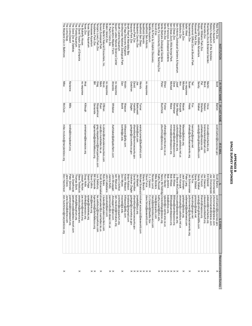## **APPENDIX B<br>SPACE SURVEY RESPONSES SPACE SURVEY RESPONSES APPENDIX B**

| <b>NSTITUTION</b>                                      | IR FIRST NAME | IR LAST NAME          | R E-MAI                                      |                                 | LE-MAIL                                                   | Received completed Survey              |
|--------------------------------------------------------|---------------|-----------------------|----------------------------------------------|---------------------------------|-----------------------------------------------------------|----------------------------------------|
| Ripley's Aquarium<br>Reid Park Zoo                     | Scott         | Barton                | scott barton@tucsonaz.gov                    | Scott Barton<br>Joe Choromanski | jchoromanski@ripleys.com<br>scott.barto<br>n@tucsonaz.gov | ×                                      |
| Ripley's Aquarium of the Smokies                       |               |                       |                                              | Joe Choromanski                 | jchoromanski@ripleys.com                                  |                                        |
| Riverbanks Zoo & Botanical Garden                      | Martin        | Vince                 | mvince@riverbanks.org                        | Ed Diebold                      | ediebold@riverbanks.org                                   |                                        |
| Riverside Zoo                                          | <b>Brent</b>  | <b>Nelson</b>         | brentsnelson@gmail.com                       | Joe Clawson                     | oneswep<br>scottsbluff.org                                |                                        |
| Roger Williams Park Zoo                                | Pat           | Sharkey               | psharkey@rwpzoo.org                          | Tim French                      | tfrench@n<br>NDZ00.0rg                                    | $\times\times\times\times$             |
| Rolling Hills Wildlife Adventure                       | <b>Sandy</b>  | Walker                | sandy@rollinghillswildlife.com               | Sandy Walker                    | sandy@ro<br>linghillswildlife.com                         |                                        |
| Roosevelt Park Zoo                                     |               |                       |                                              | Dana Gilstad                    | gmzszoo@ndak.net                                          |                                        |
| Rosamond Gifford Zoo at Burnet Park                    | ned<br>Po     | Fox                   | henryfox@ongov.net                           | Fed Fox                         | henryfox@ongov.net                                        |                                        |
| Sacramento Zoo                                         | Susan         | Healy                 | shealy@cityofsacramento.org                  | Jim Schnormeier                 | jschnorme<br>ier@cityofsacramento.org                     | ×                                      |
| Safari West                                            | no response   |                       |                                              | Peter Lang                      | safariwest<br>@safariwest.com                             |                                        |
| Saint Louis Zoo                                        | Michael       | <b>Macek</b>          | Macek@stlzoo.org                             | Jack Grisham                    | grisham@stlzoo.org                                        | ×                                      |
| Salisbury Zoo                                          | Ann           | Konopik               | akonopik@ci.salisbury.md.us                  | Ann Konopik                     | akonopik@ci.salisbury.md.us                               |                                        |
| San Antonio Zoological Gardens & Aquarium              | Josef         | San Miguel            | curbirds@sazoo-aq.org                        |                                 | J. Steve McCuske mccusker@sazoo-aq.org                    |                                        |
| San Diego Zoo                                          | Dave          | Rimlinger             | drimlinger@sandiegozoo.org                   | <b>Bob Wiese</b>                | BWiese@sandiegozoo.org                                    |                                        |
| San Diego Zoo's Wild Animal Park                       | Michael       | <b>Mace</b>           | mmace@sandie.gozoo.org                       | <b>Bob Wiese</b>                | BWiese@sandiegozoo.org                                    |                                        |
| San Francisco Zoological Gardens                       |               |                       |                                              | <b>Bob Jenkins</b>              | bobj@sfzoo.org.                                           |                                        |
| Santa Ana Zoo                                          | Ethan         | Fisher                | efisher@ci.santa-ana.ca.us                   | Ron Glazier                     | rglazier@ci.santa-ana.ca.us                               |                                        |
| Santa Barbara Zoological Gardens                       | Peter         | <b>Buchholz</b>       | pouchholz@sbzoo.org                          |                                 | Nancy McToldridgi nmctoldridge@sbzoo.org                  | $\times\times\times\times\times\times$ |
| Santa Fe Community College Teaching Zoo<br>Scovill Zoo |               |                       |                                              | Kathy Russell                   | kathy.russell@stcc.edu                                    |                                        |
| Sea Life Park by Dolphin Discovery                     |               |                       |                                              | Renato Lenzi<br>Mike Borders    | rlenzi@dol<br>mike@dec<br>phindiscovery.com<br>parks.com  |                                        |
| Seattle Aquarium                                       |               |                       |                                              | C.J. Casson                     | CJ.Cassor<br>@Seattle.Gov                                 |                                        |
| SeaWorld San Antonio                                   | no response   |                       |                                              | Dave Force                      | dave.force<br>@seaworld.com                               |                                        |
| SeaWorld Orlando                                       |               |                       |                                              | <b>Sherry Branch</b>            |                                                           | $\times\times\times\times\times\times$ |
| SeaWorld San Diego                                     | Wendy         | Turner                | wendy.turner@SeaWorld.com                    | Michael Scarpuzzi michael.sc    | arpuzzi@seaworld.com                                      |                                        |
| Seneca Park Zoo<br>Sedgwick County Zoo                 | David<br>9p   | Hamilton<br>Barkowski | dhamilton@monroecounty.gov<br>icbski@aol.com | David Hamilton<br>Jim Marlett   | dhamilton@monroecounty.gov<br>imarlett@s<br><b>610.23</b> |                                        |
| Sequoia Park Zoo                                       | Gretchen      | Ziegler               | gziegler@ci.eureka.ca.gov                    | Gretchen Ziegler                | gziegler@ci.eureka.ca.gov                                 |                                        |
| Shark Reef at Mandalay Bay                             |               |                       |                                              | <b>Brian Robison</b>            | brobison@mrgmail.com                                      |                                        |
| Six Flags Discovery Kingdom                            | Kristin       | Wasson                | kWasson@sftp.com                             | Kristin Wasson                  | kWasson@sftp.com                                          |                                        |
| Smithsonian National Zoological Park                   | Dan           | <b>Boritt</b>         | borittd@si.edu                               | Don Moore                       | moored@si.edu                                             | ×                                      |
| South Carolina Aquarium                                |               |                       |                                              | Jason Crichton                  | jcrichton@<br>scaquarium.org                              |                                        |
| Squam Lakes Natural Science Center                     | no response   |                       |                                              | ain MacLeod                     | iain.macleod@nhnature.org                                 |                                        |
| St. Augustine Aligator Farm                            | Amanda        | Whitaker              | Awhitaker@alligatorfarm.com                  | John Brueggen                   | Jbrueggen<br>1@aol.com                                    | $\times\times$                         |
| St. Paul's Como Zoo                                    |               |                       |                                              | Joanne Kelly                    | joanne.kel<br>y@ci.stpaul.mn.us                           |                                        |
| Staten Island Zoo                                      | no response   |                       |                                              | John Caltabiano                 | sizoo4ed@aol.com                                          |                                        |
| Steve Martin's Natural Encounters, Inc                 | Kevin         | <b>O'Brien</b>        | k.obrien@naturalencounters.com               | Rob Bules                       | r. bules@naturalencounters.com                            |                                        |
| Sunset Zoological Park                                 | Mark          | <b>Ryan</b>           | ryan@ci.manhattan.ks.us                      | Scott Schoemaker/shoemake       | @ci.manhattan.ks.us                                       | ×                                      |
| Tampa's Lowry Park Zoo                                 | Greg          | Stoppelmoor           | greg.stoppelmoor@lowryparkzoo.com            | -ex Salisbury                   | lex.salisbury@lowryparkzoo.com                            |                                        |
| Tautphaus Park Zoo                                     | l≣            | Gersonde              | bgersonde@idahofallszoo.org                  | <b>Bill Gersonde</b>            | bgersonde<br>@idahofallszoo.org                           | $\times\times$                         |
| Tennessee Aquarium                                     |               |                       |                                              | Dave Collins                    | dec@tenn<br>S.org                                         |                                        |
| Texas State Aquarium                                   |               |                       |                                              | Sarah Paige                     | spaige@txstateaq.org                                      |                                        |
| lexas Zoo                                              | Angi          | Killough              | animalcare@texaszoo.org                      | Doug Hotle                      | dhotle@texaszoo.org                                       |                                        |
| The Butterfly House                                    | no response   |                       |                                              | Joseph Norton                   | joe.norton@mobot.org                                      |                                        |
| The David Traylor Zoo of Emporia                       |               |                       |                                              | Steve Trebilcock                | <b>Strebilcock</b><br>@emporia.ws                         | ×                                      |
| The Florida Aquarium                                   |               |                       |                                              | Thomas Stork                    | tstork@flaquarium.org                                     |                                        |
| The Good Zoo at Oglebay                                |               |                       |                                              | Joe Greathouse                  | jgreathouse@oglebay-resort.com                            |                                        |
| The Living Desert                                      | Kerianne      | <b>SIIIN</b>          | kmills@livingdesert.org                      | Peter Siminski                  | psiminski@livingdesert.org                                |                                        |
| The Living Seas                                        |               |                       |                                              | Jane Davis                      | Jane. Davis@disney.com                                    |                                        |
| The Maryland Zoo in Baltimore                          | Mike          | McClure               | mike.mcclure@marylandzoo.org                 | Don Hutchinson                  | don.hutchi<br>nson@marylandzoo.org                        | ×                                      |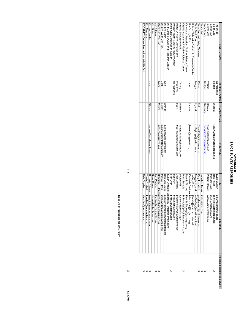## **APPENDIX B<br>SPACE SURVEY RESPONSES SPACE SURVEY RESPONSES APPENDIX B**

|                            | dsnyder@<br>hersheypa.com                 | Dale Snyder                 |                              |              |              | NOOAMEKICA Morth American Wildlife Park        |
|----------------------------|-------------------------------------------|-----------------------------|------------------------------|--------------|--------------|------------------------------------------------|
| $\times$ $\times$ $\times$ | tgoebel@;<br>zoomontana.org               | rravis<br>Goebel            |                              |              |              | Zoo Montana                                    |
|                            | jseguin@:<br>zoodegranby.com              | Dr. Julie Séguin            | jseguin@zoodegranby.com      | Séguin       | allue        | Zoo de Granby                                  |
|                            | sburns@c<br>ityofboise.org                | Steve Burns                 |                              |              |              | Zoo Boise                                      |
| ×                          | lperkins@<br>zooatlanta.org               | Lon Perkins                 |                              |              |              | Zoo Atlanta                                    |
| $\times$                   | ensen@zoo.org                             | Deborah B. Jense deborah.j  | mark.myers@zoo.org           | <b>Myers</b> | Mark         | Woodland Park Zoo                              |
|                            | mickeyollson@wildlifeworld.com            | Mickey Ollson               | jackewert@wildlifeworld.com  | Ewert        | Jack         | Wildlife World Zoo, Inc.                       |
|                            | executivedirector@wildlifesatari.net      | Dan Van Slyke               | curator@wildlifesafari.net   | Brands       | Dan          | Wildlife Safari                                |
|                            | wcc@onemain.com                           | Susan Lyndaker L slindsey_  |                              |              |              | Wild Canid Survival and Research Center        |
| ×                          | FranL@wogilman.com                        | Fran Lyon                   |                              |              |              | White Oak Conservation Center                  |
|                            | bfay@ash<br>evillenc.gov                  | Bob Fay                     |                              |              | no response  | Western North Carolina Nature Center           |
|                            | jmanning@zoonewengland.com                | Judi Manning                | tbeall@zoonewengland.com     | Beall        | Frederick    | Walter D. Stone Memorial Zoo                   |
|                            | louise.hill@norfolk.gov                   | Louise Hill                 | tamara.wiliams@norfolk.gov   | Williams     | lammy        | Virginia Zoological Park                       |
| ×                          | <b>MSwingle</b><br>@Virginia Aquarium.com | Mark Swingle                |                              |              |              | Virginia Aquarium & Marine Science Center      |
|                            | Dennis. Thoney@vanaqua.org                | Dennis Inoney               |                              |              |              | Vanconver Adrainm Marine Science Center        |
|                            | @hoglezoo.org                             | Kimberly Davidsor kdavidsor | larson@hoglezoo.org          | uosue-       | Jane         | Utah's Hogle Zoo                               |
|                            | jfrench@r<br>nail.unomaha.edu             | Jeffrey French              |                              |              |              | Univ. of Nebraska Callitrichid Research Center |
|                            | coffeyfrog<br>@worldnet.att.net           | Maggie Liguon               | coffeyfrogs@yahoo.com        | Liguori      | Maggie       | Turtle Back Zoo                                |
| ×                          | darylunsti<br>ord@ci.tulsa.ok.us          | Cary Lunstord               | DianeFell@ci.tuisa.ok.us     | 굍            | Diane        | Fulsa Zoo and Living Museum                    |
| $\times\times$             | mtrez@aol.com                             | Jonathan Meigs              |                              |              |              | <b>I revor Zoo</b>                             |
|                            |                                           |                             | RodgerS@Tracyaviary.org      | Sweeney      | Rodger       | Tracy Aviary                                   |
|                            | wrapley@<br>torontozoo.ca                 | William Rapley              | wrapley@torontozoo.ca        | Rapley       | William      | Toronto Zoo                                    |
|                            | mcoker@topeka.org                         | Michael Coker               |                              |              |              | Topeka Zoo                                     |
| ×                          | ron.fricke@toledozoo.org                  | Ron Fricke                  | robert.webster@toledozoo.org | Webster      | Robert       | Toledo Zoo                                     |
|                            | eblumer@<br>thewilds.org                  | Evan Blumer                 |                              |              | no response  | The Wilds                                      |
| Received completed Survey  | ∏<br>E-MA                                 |                             | IRE-MAIL                     | IR LAST NAME | R FIRST NAME | NOILOLLISN                                     |

 $\frac{11}{3}$ 

93

82.30088

Need 90 IR responces for 80% return Need 90 IR responces for 80% return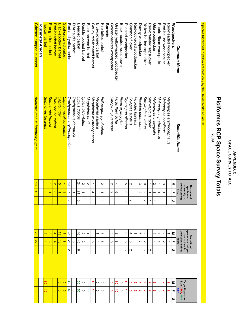## **APPENDIX C<br>SPACE SURVEY TOTALS SPACE SURVEY TOTALS APPENDIX C**

# **Piciformes RCP Space Survey Totals** Piciformes RCP Space Survey Totals

Species highlighed in yellow are held only by the Dallas World Aquarium Species highlighed in yellow are held only by the Dallas World Aquarium

| $\circ$                                           | $\circ$   |   | $\overline{z}$                                                         | $\overline{z}$        |               | $\vec{0}$                                               | $\vec{0}$      | Aulacorhynchus haematopygus  | Crimson-rumped toucanet<br>Toucanets/ Aracari  |
|---------------------------------------------------|-----------|---|------------------------------------------------------------------------|-----------------------|---------------|---------------------------------------------------------|----------------|------------------------------|------------------------------------------------|
| $\vec{0}$                                         | ᅙ         |   | 4                                                                      | 4                     |               |                                                         |                | Semnornis tucanus            | Toucan barbet                                  |
|                                                   |           |   | $\omega$                                                               | $\boldsymbol{\omega}$ |               |                                                         |                | Semnornis frantzii           | <b>Prong-billed barbet</b>                     |
| $\circ$                                           | $\circ$   |   | 4                                                                      | 4                     |               | $\circ$                                                 | $\overline{c}$ | Eubucco bourcierii           | Red-headed barbet                              |
| $\circ$                                           | $\circ$   |   | ಪ                                                                      | ಪ                     |               |                                                         | G              | Capito niger                 | $\overline{\mathtt{w}}$<br>lack-spotted barbet |
| $\circ$                                           | $\circ$   |   | $\infty$                                                               | $\infty$              |               | 4                                                       | 4              | Capito maculicoronatus       | Spot-crowned barbet                            |
| đ                                                 | 5         | N | 28                                                                     | 28                    | N             | ┙                                                       | ਠੋ             | Trachyphonus erythrocephalus | Red-and-yellow barbet                          |
| 0                                                 | 0         |   | ω                                                                      | ယ                     |               |                                                         |                | Trachyphonus darnaudii       | D'Arnaud's barbet                              |
| ၛၟ                                                | ၛၟ        | ∞ | $\ddot{5}$                                                             | \$                    | 0             | $\overline{2}$                                          | 24             | Lybius dubius                | Bearded barbet                                 |
| 0                                                 | 0         |   | N                                                                      | N                     |               |                                                         | Z              | Lybius bidentatus            | Double-toothed barbet                          |
| 0                                                 | $\circ$   |   |                                                                        | ∸                     |               |                                                         | N              | Megalaima oorti              | Black-prowed parpet                            |
| ۰                                                 | ត់        |   | c                                                                      | c                     |               | 4                                                       |                | Megalaima mystacophanos      | Gaudy red-throated barbet                      |
| 0                                                 | 0         |   | ◡                                                                      | ∸                     |               |                                                         |                | Megalaima asiatica           | Blue-crowned barbet                            |
| $\circ$                                           | $\circ$   |   | o                                                                      | o                     |               | ᅩ                                                       | N              | Psilopogon pyrolophus        | Fire-tufted barbet                             |
|                                                   |           |   |                                                                        |                       |               |                                                         |                |                              | Barbets                                        |
| ပာ                                                | <b>GT</b> |   | c                                                                      | c                     |               | N                                                       | И              | Dinopium javanense           | Golden-backed woodpecker                       |
| ត់                                                | ត់        |   | $^{\circ}$                                                             | $^{\circ}$            |               | ω                                                       | 4              | Picus flavinucha             | Greater yellow-naped woodpecker                |
| 0                                                 | 0         |   |                                                                        |                       |               |                                                         | ∸              | Picus erytroygios            | Black-headed woodpeckei                        |
| ᅙ                                                 | ᅙ         | ω | $\infty$                                                               | ဖ                     | ယ             | ω                                                       | c              | Dryocopus pileatus           | Pileated woodpecker                            |
| თ                                                 | oı        | N | ω                                                                      | 4                     | N             |                                                         | N              | Colaptes auratus             | Common flicker                                 |
| N                                                 | N         |   |                                                                        | ∸                     |               |                                                         | ∸              | Picoides borealis            | Red-cockaded woodpecker                        |
| ┙                                                 | ч         | ∸ | ┙                                                                      | တ                     |               | N                                                       | ω              | Picoides pubescens           | Downy woodpecker                               |
| N                                                 | N         | ω | N                                                                      | N                     | N             | Z                                                       | $\circ$        | Sphyrapicus varius           | Yellow-bellied sapsucker                       |
| N                                                 | N         | N |                                                                        |                       | $\rightarrow$ | →                                                       |                | Sphyrapicus ruber            | Red-breasted sapsucker                         |
| ၑ                                                 | ယ         |   | 4                                                                      | 4                     |               | $\omega$                                                | N              | Melanerpes uropygialis       | Gila woodpecker                                |
| 0                                                 | $\circ$   |   | 4                                                                      | 4                     |               |                                                         | ∸              | Melanerpes portoricensis     | Puerto Rican woodpecker                        |
| N                                                 | N         |   | N                                                                      | N                     |               |                                                         | ω              | Melanerpes carolinus         | Red-bellied woodpecker                         |
| N                                                 | Z         |   | ∸                                                                      | →                     |               |                                                         |                | Melanerpes erythrocephalus   | Red-headed woodpecker                          |
| ᆩ<br>c                                            | 3         | c | ᆩ                                                                      | Μ                     | $\subset$     | ᆩ                                                       | Μ              |                              | Woodpeckers                                    |
| <b>Target Population</b><br>Size DERP PMP.<br>SSP |           |   | specimens that you<br>collection in three<br>plan to have in<br>years? |                       |               | collection (e.g.,<br>currently in<br>specimens<br>1.1.2 |                | <b>Scientific Name</b>       | <b>Common Name</b>                             |
|                                                   |           |   | Sex ratio of                                                           |                       |               | Sex ratio of                                            |                |                              |                                                |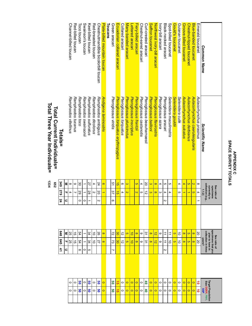## **APPENDIX C<br>SPACE SURVEY TOTALS SPACE SURVEY TOTALS APPENDIX C**

|                             |            |                                                                              |             |    |                                                                |                   | Total Climant Individuale I          |                                     |
|-----------------------------|------------|------------------------------------------------------------------------------|-------------|----|----------------------------------------------------------------|-------------------|--------------------------------------|-------------------------------------|
|                             | $\ddot{4}$ | 345                                                                          | 848         | 24 | 279                                                            | <b>S49</b>        | <u>Totals=</u>                       |                                     |
|                             | c          | T,                                                                           | Ξ           | c  | T                                                              | Ξ                 |                                      |                                     |
| 0                           |            | S2                                                                           | 5S          |    | 4                                                              | $\infty$          | Ramphastos vitellinus                | Channel-billed toucan               |
| $\circ$                     |            | ີ ຕ                                                                          | ದ           |    |                                                                | $\mathbf \Omega$  | Ramphastos tucanus                   | Red-billed toucan                   |
| ၛၟ                          | თ          | 54                                                                           | ፚ           | 0  | 59                                                             | မွ                | Ramphastos toco                      | Toco toucan                         |
| $\circ$                     | 0          |                                                                              | ∸           | 0  |                                                                | ∸                 | Ramphastos swainsonii                | Swainson's toucan                   |
| ၛ                           | ပာ         | 34                                                                           | 54          |    | 28                                                             | 27                | Ramphastos sulfuratus                | Keel-billed toucan                  |
| $\circ$                     |            | $\vec{0}$                                                                    | ਠੇ          |    | Z                                                              | 4                 | Ramphastos dicolorus                 | Red-breasted toucan                 |
| ၛၟ                          |            | 27                                                                           | 8           | Z  | 20                                                             | 24                | Ramphastos ambiguus                  | Chestnutmandible bicolorbill toucan |
| $\circ$                     |            | $\infty$                                                                     | $\infty$    |    |                                                                | ၜ                 | Andigena laminostris                 | Plate-billed mountain toucar        |
|                             |            |                                                                              |             |    |                                                                |                   |                                      | <b>Toucans</b>                      |
| ၛၟ                          | ┙          | ವ                                                                            | 2           | თ  | 37                                                             | 51                | Pteroglossus viridis                 | Green aracari                       |
| ã                           |            | မ္တ                                                                          | မ္မ         |    | $\vec{5}$                                                      | $\vec{a}$         | Ptereglossus torquatus erythropygius | Ecuadorian collared aracari         |
| 0                           |            | ᠗                                                                            | ನ           |    | 4                                                              | ω                 | Pteroglossus torquatus               | Collared aracari                    |
| $\circ$                     |            | ō                                                                            | G           |    | $\mathbf{v}$                                                   | $\mathbf{\omega}$ | Pteroglossus pluricinctus            | Many-banded aracari                 |
| $\circ$                     |            | ᅙ                                                                            | ᅙ           |    |                                                                |                   | Pteroglossus inscriptus              | Lettered aracari                    |
| $\circ$                     |            | $\infty$                                                                     | $\infty$    |    | N                                                              | oī                | Ptereglossus frantzii                | Fiery-billed aracari                |
| $\circ$                     |            | ဖ                                                                            | ဖ           |    | G                                                              | 4                 | Pteroglossus castanotis              | Chestnut-eared aracari              |
| đ,                          |            | یٰ                                                                           | $\tilde{3}$ |    | $\vec{z}$                                                      | SO                | Pteroglossus beauharnaesii           | Curl-crested aracari                |
| $\circ$                     |            | $\infty$                                                                     | $\infty$    |    | $\mathbf{\omega}$                                              | $\mathbf{\omega}$ | Pteroglossus bailloni                | Saffron toucanet                    |
| $\circ$                     |            | ಸ                                                                            | $\vec{v}$   |    | $\infty$                                                       | $\infty$          | Pteroglossus flavirostris            | Northwest ivory-bill aracari        |
| o                           |            | ဖ                                                                            | ဖ           |    | ω                                                              | 4                 | Pteroglossus azara                   | lvory-bill aracari                  |
| $\circ$                     | Z          | ⇉                                                                            | ⇉           | Z  | 4                                                              | c                 | Pteroglossus aracari                 | Black-necked aracari                |
| 0                           |            | $\vec{0}$                                                                    | ⇉           |    | 4                                                              | c                 | Selenidera maculirostris             | Spot-billed toucanet                |
| $\circ$                     |            | G                                                                            | G           |    |                                                                |                   | Selenidera gouldii                   | Gould's toucanet                    |
| $\circ$                     |            | ᅙ                                                                            | ਠੋ          |    | c                                                              | 4                 | Selenidera culik                     | Guianan toucanet                    |
| $\circ$                     |            | $\infty$                                                                     | $\infty$    |    |                                                                | 4                 | Aulacorhynchus sulcatus              | Groove-billed toucanet              |
| $\circ$                     |            | ō                                                                            | G           |    |                                                                | G                 | Aulacorhynchus derbianus             | Chestnut-tipped toucanet            |
| $\circ$                     |            | $\infty$                                                                     | $\infty$    |    | G                                                              | $\mathbf{v}$      | Aulacorhynchus caeruleogularis       | Blue-banded toucanet                |
| $\vec{0}$                   |            | 8                                                                            | 8           |    | 4                                                              | $^\infty$         | Aulacorhynchus prasinus              | Emerald toucanet                    |
|                             |            | years?                                                                       |             |    | 1.1.2                                                          |                   | <b>Scientific Name</b>               | <b>Common Name</b>                  |
| Target<br>Size <sup>1</sup> |            | specimens that you<br>collection in three<br>plan to have in<br>Sex ratio of |             |    | collection (e.g.,<br>Sex ratio of<br>currently in<br>specimens |                   |                                      |                                     |
|                             |            |                                                                              |             |    |                                                                |                   |                                      |                                     |

lotal Current Individuals=<br>Total Three Year Individuals= **Total Three Year Individuals= Total Current Individuals=**

**652**

|  |  |  |  |  |  |  |  |  |  |  |  | ╟╘╟ᢀ <mark>ᢀ│○│╝</mark> ╸│╝ <mark>╛│○│○│○│○│○│○</mark> │○│○│ <mark>○│</mark> ⊗│○│ <mark>○│</mark> ⊙│○│○│ |  | Targe<br>Size                                                                                     |  |
|--|--|--|--|--|--|--|--|--|--|--|--|----------------------------------------------------------------------------------------------------------|--|---------------------------------------------------------------------------------------------------|--|
|  |  |  |  |  |  |  |  |  |  |  |  |                                                                                                          |  | │०│०│ <b>ଓ│०│ଓ│०│</b> ││ଓ│ <mark>क</mark> │०│०│०│०│०│०│६│०│०│०│०│०│०│०│०│८│ <sup>8</sup> .ఖैंड्रै |  |
|  |  |  |  |  |  |  |  |  |  |  |  |                                                                                                          |  | lation<br>PMP                                                                                     |  |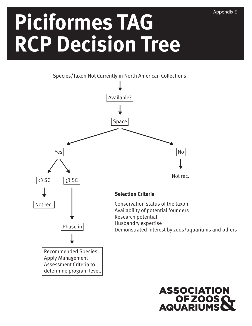# **Piciformes TAG RCP Decision Tree**





Appendix E